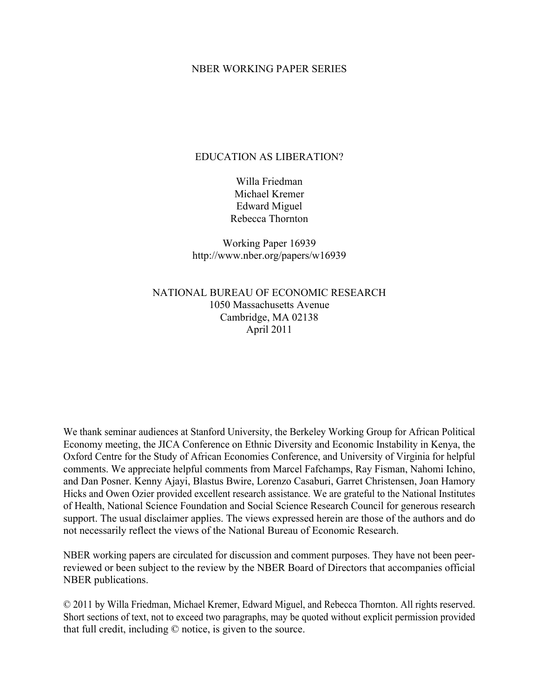## NBER WORKING PAPER SERIES

# EDUCATION AS LIBERATION?

Willa Friedman Michael Kremer Edward Miguel Rebecca Thornton

Working Paper 16939 http://www.nber.org/papers/w16939

NATIONAL BUREAU OF ECONOMIC RESEARCH 1050 Massachusetts Avenue Cambridge, MA 02138 April 2011

We thank seminar audiences at Stanford University, the Berkeley Working Group for African Political Economy meeting, the JICA Conference on Ethnic Diversity and Economic Instability in Kenya, the Oxford Centre for the Study of African Economies Conference, and University of Virginia for helpful comments. We appreciate helpful comments from Marcel Fafchamps, Ray Fisman, Nahomi Ichino, and Dan Posner. Kenny Ajayi, Blastus Bwire, Lorenzo Casaburi, Garret Christensen, Joan Hamory Hicks and Owen Ozier provided excellent research assistance. We are grateful to the National Institutes of Health, National Science Foundation and Social Science Research Council for generous research support. The usual disclaimer applies. The views expressed herein are those of the authors and do not necessarily reflect the views of the National Bureau of Economic Research.

NBER working papers are circulated for discussion and comment purposes. They have not been peerreviewed or been subject to the review by the NBER Board of Directors that accompanies official NBER publications.

© 2011 by Willa Friedman, Michael Kremer, Edward Miguel, and Rebecca Thornton. All rights reserved. Short sections of text, not to exceed two paragraphs, may be quoted without explicit permission provided that full credit, including © notice, is given to the source.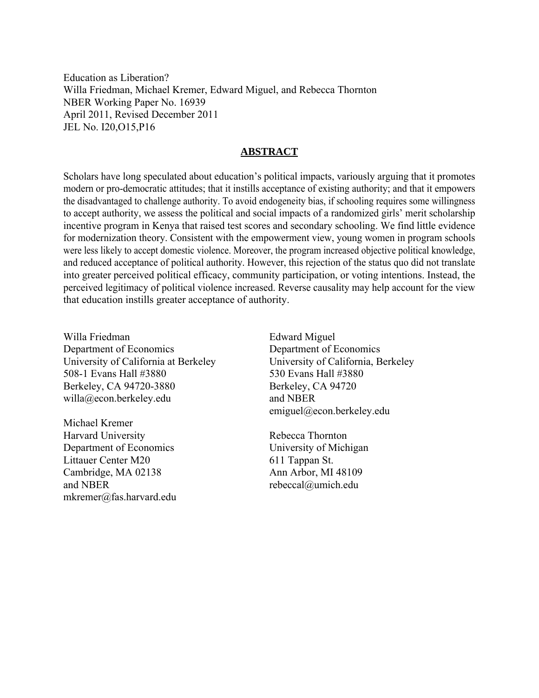Education as Liberation? Willa Friedman, Michael Kremer, Edward Miguel, and Rebecca Thornton NBER Working Paper No. 16939 April 2011, Revised December 2011 JEL No. I20,O15,P16

# **ABSTRACT**

Scholars have long speculated about education's political impacts, variously arguing that it promotes modern or pro-democratic attitudes; that it instills acceptance of existing authority; and that it empowers the disadvantaged to challenge authority. To avoid endogeneity bias, if schooling requires some willingness to accept authority, we assess the political and social impacts of a randomized girls' merit scholarship incentive program in Kenya that raised test scores and secondary schooling. We find little evidence for modernization theory. Consistent with the empowerment view, young women in program schools were less likely to accept domestic violence. Moreover, the program increased objective political knowledge, and reduced acceptance of political authority. However, this rejection of the status quo did not translate into greater perceived political efficacy, community participation, or voting intentions. Instead, the perceived legitimacy of political violence increased. Reverse causality may help account for the view that education instills greater acceptance of authority.

Willa Friedman Department of Economics University of California at Berkeley 508-1 Evans Hall #3880 Berkeley, CA 94720-3880 willa@econ.berkeley.edu

Michael Kremer Harvard University Department of Economics Littauer Center M20 Cambridge, MA 02138 and NBER mkremer@fas.harvard.edu Edward Miguel Department of Economics University of California, Berkeley 530 Evans Hall #3880 Berkeley, CA 94720 and NBER emiguel@econ.berkeley.edu

Rebecca Thornton University of Michigan 611 Tappan St. Ann Arbor, MI 48109 rebeccal@umich.edu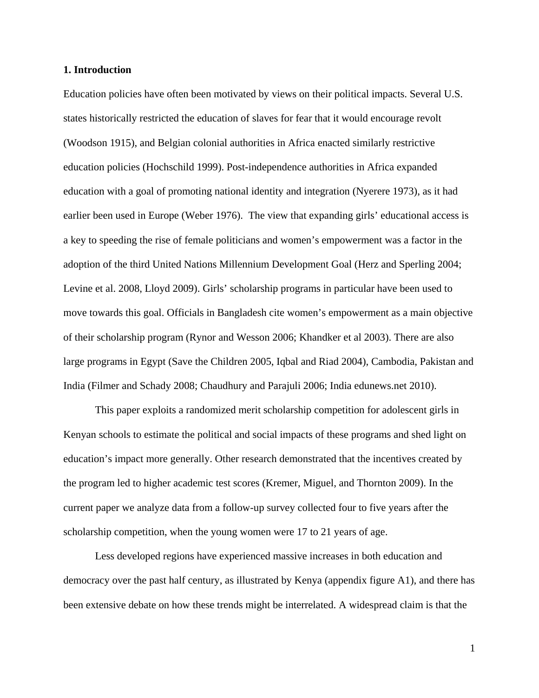#### **1. Introduction**

Education policies have often been motivated by views on their political impacts. Several U.S. states historically restricted the education of slaves for fear that it would encourage revolt (Woodson 1915), and Belgian colonial authorities in Africa enacted similarly restrictive education policies (Hochschild 1999). Post-independence authorities in Africa expanded education with a goal of promoting national identity and integration (Nyerere 1973), as it had earlier been used in Europe (Weber 1976). The view that expanding girls' educational access is a key to speeding the rise of female politicians and women's empowerment was a factor in the adoption of the third United Nations Millennium Development Goal (Herz and Sperling 2004; Levine et al. 2008, Lloyd 2009). Girls' scholarship programs in particular have been used to move towards this goal. Officials in Bangladesh cite women's empowerment as a main objective of their scholarship program (Rynor and Wesson 2006; Khandker et al 2003). There are also large programs in Egypt (Save the Children 2005, Iqbal and Riad 2004), Cambodia, Pakistan and India (Filmer and Schady 2008; Chaudhury and Parajuli 2006; India edunews.net 2010).

 This paper exploits a randomized merit scholarship competition for adolescent girls in Kenyan schools to estimate the political and social impacts of these programs and shed light on education's impact more generally. Other research demonstrated that the incentives created by the program led to higher academic test scores (Kremer, Miguel, and Thornton 2009). In the current paper we analyze data from a follow-up survey collected four to five years after the scholarship competition, when the young women were 17 to 21 years of age.

Less developed regions have experienced massive increases in both education and democracy over the past half century, as illustrated by Kenya (appendix figure A1), and there has been extensive debate on how these trends might be interrelated. A widespread claim is that the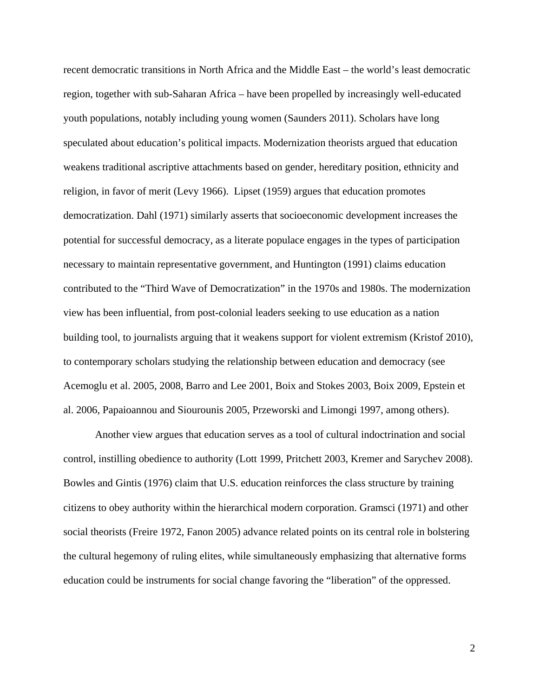recent democratic transitions in North Africa and the Middle East – the world's least democratic region, together with sub-Saharan Africa – have been propelled by increasingly well-educated youth populations, notably including young women (Saunders 2011). Scholars have long speculated about education's political impacts. Modernization theorists argued that education weakens traditional ascriptive attachments based on gender, hereditary position, ethnicity and religion, in favor of merit (Levy 1966). Lipset (1959) argues that education promotes democratization. Dahl (1971) similarly asserts that socioeconomic development increases the potential for successful democracy, as a literate populace engages in the types of participation necessary to maintain representative government, and Huntington (1991) claims education contributed to the "Third Wave of Democratization" in the 1970s and 1980s. The modernization view has been influential, from post-colonial leaders seeking to use education as a nation building tool, to journalists arguing that it weakens support for violent extremism (Kristof 2010), to contemporary scholars studying the relationship between education and democracy (see Acemoglu et al. 2005, 2008, Barro and Lee 2001, Boix and Stokes 2003, Boix 2009, Epstein et al. 2006, Papaioannou and Siourounis 2005, Przeworski and Limongi 1997, among others).

Another view argues that education serves as a tool of cultural indoctrination and social control, instilling obedience to authority (Lott 1999, Pritchett 2003, Kremer and Sarychev 2008). Bowles and Gintis (1976) claim that U.S. education reinforces the class structure by training citizens to obey authority within the hierarchical modern corporation. Gramsci (1971) and other social theorists (Freire 1972, Fanon 2005) advance related points on its central role in bolstering the cultural hegemony of ruling elites, while simultaneously emphasizing that alternative forms education could be instruments for social change favoring the "liberation" of the oppressed.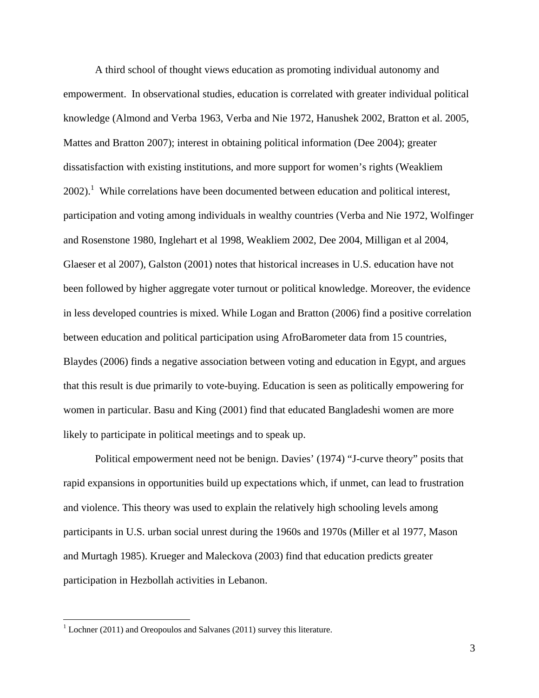A third school of thought views education as promoting individual autonomy and empowerment. In observational studies, education is correlated with greater individual political knowledge (Almond and Verba 1963, Verba and Nie 1972, Hanushek 2002, Bratton et al. 2005, Mattes and Bratton 2007); interest in obtaining political information (Dee 2004); greater dissatisfaction with existing institutions, and more support for women's rights (Weakliem  $2002$ ).<sup>1</sup> While correlations have been documented between education and political interest, participation and voting among individuals in wealthy countries (Verba and Nie 1972, Wolfinger and Rosenstone 1980, Inglehart et al 1998, Weakliem 2002, Dee 2004, Milligan et al 2004, Glaeser et al 2007), Galston (2001) notes that historical increases in U.S. education have not been followed by higher aggregate voter turnout or political knowledge. Moreover, the evidence in less developed countries is mixed. While Logan and Bratton (2006) find a positive correlation between education and political participation using AfroBarometer data from 15 countries, Blaydes (2006) finds a negative association between voting and education in Egypt, and argues that this result is due primarily to vote-buying. Education is seen as politically empowering for women in particular. Basu and King (2001) find that educated Bangladeshi women are more likely to participate in political meetings and to speak up.

Political empowerment need not be benign. Davies' (1974) "J-curve theory" posits that rapid expansions in opportunities build up expectations which, if unmet, can lead to frustration and violence. This theory was used to explain the relatively high schooling levels among participants in U.S. urban social unrest during the 1960s and 1970s (Miller et al 1977, Mason and Murtagh 1985). Krueger and Maleckova (2003) find that education predicts greater participation in Hezbollah activities in Lebanon.

 $\overline{a}$ 

 $1$  Lochner (2011) and Oreopoulos and Salvanes (2011) survey this literature.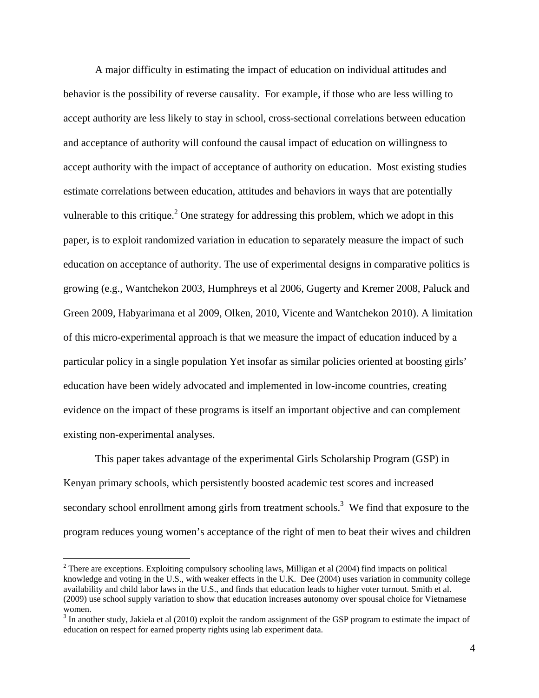A major difficulty in estimating the impact of education on individual attitudes and behavior is the possibility of reverse causality. For example, if those who are less willing to accept authority are less likely to stay in school, cross-sectional correlations between education and acceptance of authority will confound the causal impact of education on willingness to accept authority with the impact of acceptance of authority on education. Most existing studies estimate correlations between education, attitudes and behaviors in ways that are potentially vulnerable to this critique.<sup>2</sup> One strategy for addressing this problem, which we adopt in this paper, is to exploit randomized variation in education to separately measure the impact of such education on acceptance of authority. The use of experimental designs in comparative politics is growing (e.g., Wantchekon 2003, Humphreys et al 2006, Gugerty and Kremer 2008, Paluck and Green 2009, Habyarimana et al 2009, Olken, 2010, Vicente and Wantchekon 2010). A limitation of this micro-experimental approach is that we measure the impact of education induced by a particular policy in a single population Yet insofar as similar policies oriented at boosting girls' education have been widely advocated and implemented in low-income countries, creating evidence on the impact of these programs is itself an important objective and can complement existing non-experimental analyses.

This paper takes advantage of the experimental Girls Scholarship Program (GSP) in Kenyan primary schools, which persistently boosted academic test scores and increased secondary school enrollment among girls from treatment schools.<sup>3</sup> We find that exposure to the program reduces young women's acceptance of the right of men to beat their wives and children

 $\overline{a}$ 

 $2^2$  There are exceptions. Exploiting compulsory schooling laws, Milligan et al (2004) find impacts on political knowledge and voting in the U.S., with weaker effects in the U.K. Dee (2004) uses variation in community college availability and child labor laws in the U.S., and finds that education leads to higher voter turnout. Smith et al. (2009) use school supply variation to show that education increases autonomy over spousal choice for Vietnamese women.

 $3$  In another study, Jakiela et al (2010) exploit the random assignment of the GSP program to estimate the impact of education on respect for earned property rights using lab experiment data.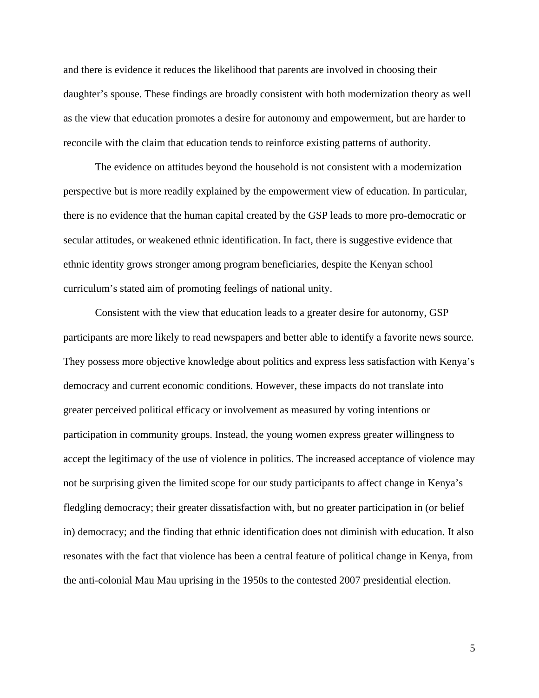and there is evidence it reduces the likelihood that parents are involved in choosing their daughter's spouse. These findings are broadly consistent with both modernization theory as well as the view that education promotes a desire for autonomy and empowerment, but are harder to reconcile with the claim that education tends to reinforce existing patterns of authority.

The evidence on attitudes beyond the household is not consistent with a modernization perspective but is more readily explained by the empowerment view of education. In particular, there is no evidence that the human capital created by the GSP leads to more pro-democratic or secular attitudes, or weakened ethnic identification. In fact, there is suggestive evidence that ethnic identity grows stronger among program beneficiaries, despite the Kenyan school curriculum's stated aim of promoting feelings of national unity.

Consistent with the view that education leads to a greater desire for autonomy, GSP participants are more likely to read newspapers and better able to identify a favorite news source. They possess more objective knowledge about politics and express less satisfaction with Kenya's democracy and current economic conditions. However, these impacts do not translate into greater perceived political efficacy or involvement as measured by voting intentions or participation in community groups. Instead, the young women express greater willingness to accept the legitimacy of the use of violence in politics. The increased acceptance of violence may not be surprising given the limited scope for our study participants to affect change in Kenya's fledgling democracy; their greater dissatisfaction with, but no greater participation in (or belief in) democracy; and the finding that ethnic identification does not diminish with education. It also resonates with the fact that violence has been a central feature of political change in Kenya, from the anti-colonial Mau Mau uprising in the 1950s to the contested 2007 presidential election.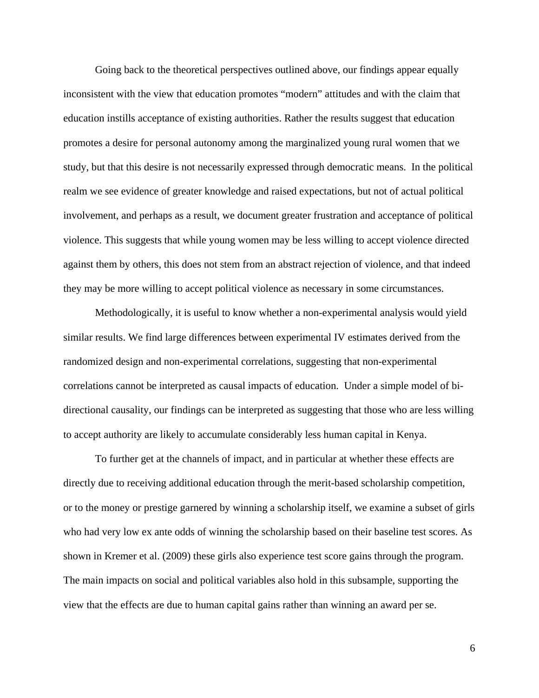Going back to the theoretical perspectives outlined above, our findings appear equally inconsistent with the view that education promotes "modern" attitudes and with the claim that education instills acceptance of existing authorities. Rather the results suggest that education promotes a desire for personal autonomy among the marginalized young rural women that we study, but that this desire is not necessarily expressed through democratic means. In the political realm we see evidence of greater knowledge and raised expectations, but not of actual political involvement, and perhaps as a result, we document greater frustration and acceptance of political violence. This suggests that while young women may be less willing to accept violence directed against them by others, this does not stem from an abstract rejection of violence, and that indeed they may be more willing to accept political violence as necessary in some circumstances.

Methodologically, it is useful to know whether a non-experimental analysis would yield similar results. We find large differences between experimental IV estimates derived from the randomized design and non-experimental correlations, suggesting that non-experimental correlations cannot be interpreted as causal impacts of education. Under a simple model of bidirectional causality, our findings can be interpreted as suggesting that those who are less willing to accept authority are likely to accumulate considerably less human capital in Kenya.

To further get at the channels of impact, and in particular at whether these effects are directly due to receiving additional education through the merit-based scholarship competition, or to the money or prestige garnered by winning a scholarship itself, we examine a subset of girls who had very low ex ante odds of winning the scholarship based on their baseline test scores. As shown in Kremer et al. (2009) these girls also experience test score gains through the program. The main impacts on social and political variables also hold in this subsample, supporting the view that the effects are due to human capital gains rather than winning an award per se.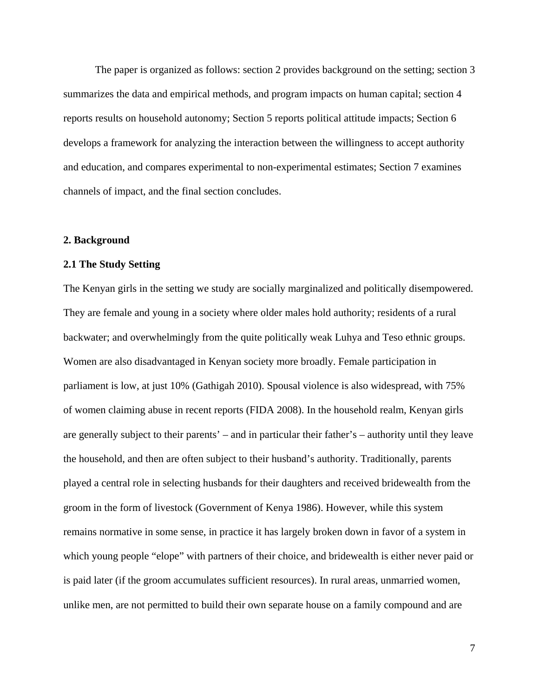The paper is organized as follows: section 2 provides background on the setting; section 3 summarizes the data and empirical methods, and program impacts on human capital; section 4 reports results on household autonomy; Section 5 reports political attitude impacts; Section 6 develops a framework for analyzing the interaction between the willingness to accept authority and education, and compares experimental to non-experimental estimates; Section 7 examines channels of impact, and the final section concludes.

### **2. Background**

### **2.1 The Study Setting**

The Kenyan girls in the setting we study are socially marginalized and politically disempowered. They are female and young in a society where older males hold authority; residents of a rural backwater; and overwhelmingly from the quite politically weak Luhya and Teso ethnic groups. Women are also disadvantaged in Kenyan society more broadly. Female participation in parliament is low, at just 10% (Gathigah 2010). Spousal violence is also widespread, with 75% of women claiming abuse in recent reports (FIDA 2008). In the household realm, Kenyan girls are generally subject to their parents' – and in particular their father's – authority until they leave the household, and then are often subject to their husband's authority. Traditionally, parents played a central role in selecting husbands for their daughters and received bridewealth from the groom in the form of livestock (Government of Kenya 1986). However, while this system remains normative in some sense, in practice it has largely broken down in favor of a system in which young people "elope" with partners of their choice, and bridewealth is either never paid or is paid later (if the groom accumulates sufficient resources). In rural areas, unmarried women, unlike men, are not permitted to build their own separate house on a family compound and are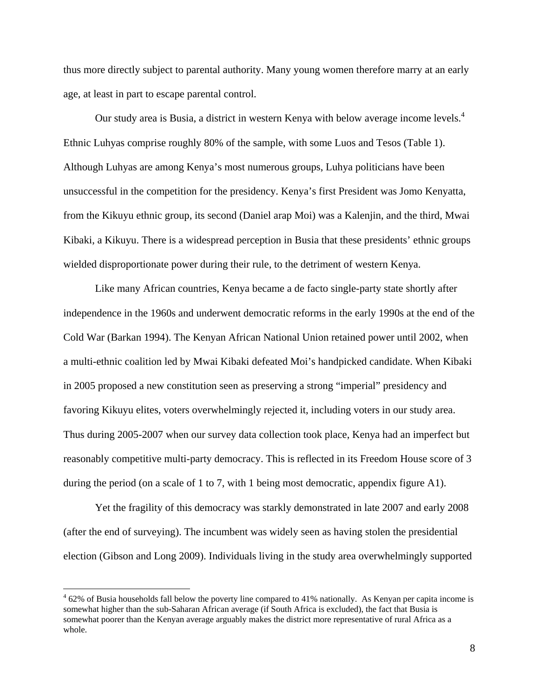thus more directly subject to parental authority. Many young women therefore marry at an early age, at least in part to escape parental control.

Our study area is Busia, a district in western Kenya with below average income levels.<sup>4</sup> Ethnic Luhyas comprise roughly 80% of the sample, with some Luos and Tesos (Table 1). Although Luhyas are among Kenya's most numerous groups, Luhya politicians have been unsuccessful in the competition for the presidency. Kenya's first President was Jomo Kenyatta, from the Kikuyu ethnic group, its second (Daniel arap Moi) was a Kalenjin, and the third, Mwai Kibaki, a Kikuyu. There is a widespread perception in Busia that these presidents' ethnic groups wielded disproportionate power during their rule, to the detriment of western Kenya.

Like many African countries, Kenya became a de facto single-party state shortly after independence in the 1960s and underwent democratic reforms in the early 1990s at the end of the Cold War (Barkan 1994). The Kenyan African National Union retained power until 2002, when a multi-ethnic coalition led by Mwai Kibaki defeated Moi's handpicked candidate. When Kibaki in 2005 proposed a new constitution seen as preserving a strong "imperial" presidency and favoring Kikuyu elites, voters overwhelmingly rejected it, including voters in our study area. Thus during 2005-2007 when our survey data collection took place, Kenya had an imperfect but reasonably competitive multi-party democracy. This is reflected in its Freedom House score of 3 during the period (on a scale of 1 to 7, with 1 being most democratic, appendix figure A1).

Yet the fragility of this democracy was starkly demonstrated in late 2007 and early 2008 (after the end of surveying). The incumbent was widely seen as having stolen the presidential election (Gibson and Long 2009). Individuals living in the study area overwhelmingly supported

<u>.</u>

 $462\%$  of Busia households fall below the poverty line compared to 41% nationally. As Kenyan per capita income is somewhat higher than the sub-Saharan African average (if South Africa is excluded), the fact that Busia is somewhat poorer than the Kenyan average arguably makes the district more representative of rural Africa as a whole.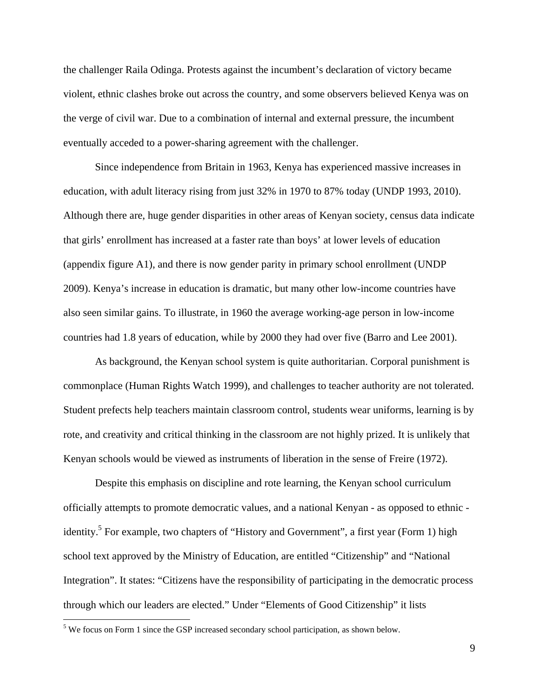the challenger Raila Odinga. Protests against the incumbent's declaration of victory became violent, ethnic clashes broke out across the country, and some observers believed Kenya was on the verge of civil war. Due to a combination of internal and external pressure, the incumbent eventually acceded to a power-sharing agreement with the challenger.

Since independence from Britain in 1963, Kenya has experienced massive increases in education, with adult literacy rising from just 32% in 1970 to 87% today (UNDP 1993, 2010). Although there are, huge gender disparities in other areas of Kenyan society, census data indicate that girls' enrollment has increased at a faster rate than boys' at lower levels of education (appendix figure A1), and there is now gender parity in primary school enrollment (UNDP 2009). Kenya's increase in education is dramatic, but many other low-income countries have also seen similar gains. To illustrate, in 1960 the average working-age person in low-income countries had 1.8 years of education, while by 2000 they had over five (Barro and Lee 2001).

As background, the Kenyan school system is quite authoritarian. Corporal punishment is commonplace (Human Rights Watch 1999), and challenges to teacher authority are not tolerated. Student prefects help teachers maintain classroom control, students wear uniforms, learning is by rote, and creativity and critical thinking in the classroom are not highly prized. It is unlikely that Kenyan schools would be viewed as instruments of liberation in the sense of Freire (1972).

Despite this emphasis on discipline and rote learning, the Kenyan school curriculum officially attempts to promote democratic values, and a national Kenyan - as opposed to ethnic identity.<sup>5</sup> For example, two chapters of "History and Government", a first year (Form 1) high school text approved by the Ministry of Education, are entitled "Citizenship" and "National Integration". It states: "Citizens have the responsibility of participating in the democratic process through which our leaders are elected." Under "Elements of Good Citizenship" it lists

 $\overline{a}$ 

 $<sup>5</sup>$  We focus on Form 1 since the GSP increased secondary school participation, as shown below.</sup>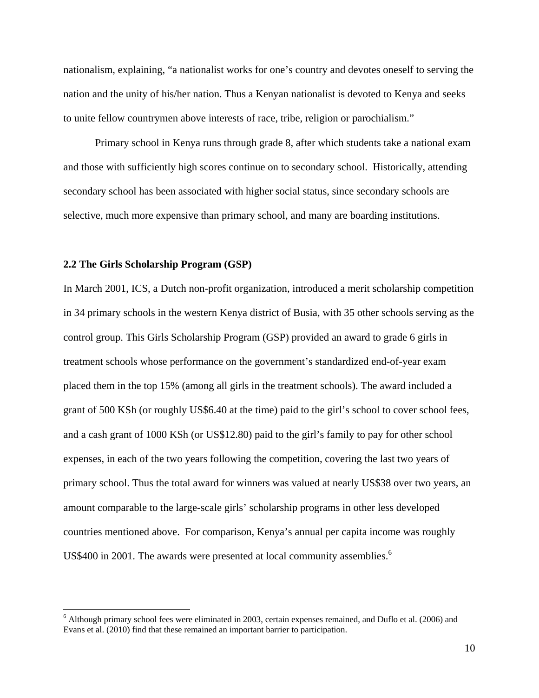nationalism, explaining, "a nationalist works for one's country and devotes oneself to serving the nation and the unity of his/her nation. Thus a Kenyan nationalist is devoted to Kenya and seeks to unite fellow countrymen above interests of race, tribe, religion or parochialism."

Primary school in Kenya runs through grade 8, after which students take a national exam and those with sufficiently high scores continue on to secondary school. Historically, attending secondary school has been associated with higher social status, since secondary schools are selective, much more expensive than primary school, and many are boarding institutions.

### **2.2 The Girls Scholarship Program (GSP)**

 $\overline{a}$ 

In March 2001, ICS, a Dutch non-profit organization, introduced a merit scholarship competition in 34 primary schools in the western Kenya district of Busia, with 35 other schools serving as the control group. This Girls Scholarship Program (GSP) provided an award to grade 6 girls in treatment schools whose performance on the government's standardized end-of-year exam placed them in the top 15% (among all girls in the treatment schools). The award included a grant of 500 KSh (or roughly US\$6.40 at the time) paid to the girl's school to cover school fees, and a cash grant of 1000 KSh (or US\$12.80) paid to the girl's family to pay for other school expenses, in each of the two years following the competition, covering the last two years of primary school. Thus the total award for winners was valued at nearly US\$38 over two years, an amount comparable to the large-scale girls' scholarship programs in other less developed countries mentioned above. For comparison, Kenya's annual per capita income was roughly US\$400 in 2001. The awards were presented at local community assemblies.<sup>6</sup>

<sup>&</sup>lt;sup>6</sup> Although primary school fees were eliminated in 2003, certain expenses remained, and Duflo et al. (2006) and Evans et al. (2010) find that these remained an important barrier to participation.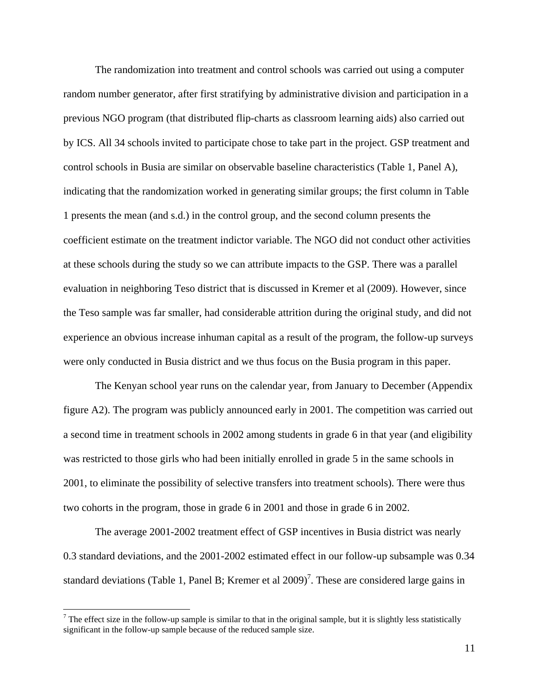The randomization into treatment and control schools was carried out using a computer random number generator, after first stratifying by administrative division and participation in a previous NGO program (that distributed flip-charts as classroom learning aids) also carried out by ICS. All 34 schools invited to participate chose to take part in the project. GSP treatment and control schools in Busia are similar on observable baseline characteristics (Table 1, Panel A), indicating that the randomization worked in generating similar groups; the first column in Table 1 presents the mean (and s.d.) in the control group, and the second column presents the coefficient estimate on the treatment indictor variable. The NGO did not conduct other activities at these schools during the study so we can attribute impacts to the GSP. There was a parallel evaluation in neighboring Teso district that is discussed in Kremer et al (2009). However, since the Teso sample was far smaller, had considerable attrition during the original study, and did not experience an obvious increase inhuman capital as a result of the program, the follow-up surveys were only conducted in Busia district and we thus focus on the Busia program in this paper.

 The Kenyan school year runs on the calendar year, from January to December (Appendix figure A2). The program was publicly announced early in 2001. The competition was carried out a second time in treatment schools in 2002 among students in grade 6 in that year (and eligibility was restricted to those girls who had been initially enrolled in grade 5 in the same schools in 2001, to eliminate the possibility of selective transfers into treatment schools). There were thus two cohorts in the program, those in grade 6 in 2001 and those in grade 6 in 2002.

 The average 2001-2002 treatment effect of GSP incentives in Busia district was nearly 0.3 standard deviations, and the 2001-2002 estimated effect in our follow-up subsample was 0.34 standard deviations (Table 1, Panel B; Kremer et al  $2009$ )<sup>7</sup>. These are considered large gains in

 $\overline{a}$ 

<sup>&</sup>lt;sup>7</sup> The effect size in the follow-up sample is similar to that in the original sample, but it is slightly less statistically significant in the follow-up sample because of the reduced sample size.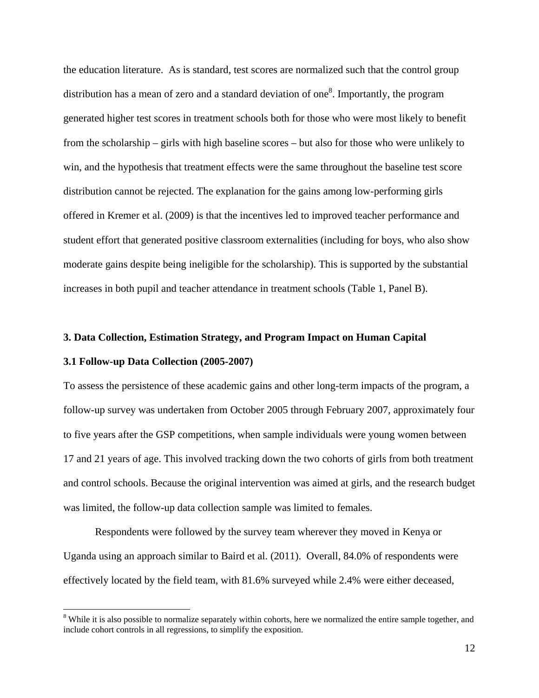the education literature. As is standard, test scores are normalized such that the control group distribution has a mean of zero and a standard deviation of one<sup>8</sup>. Importantly, the program generated higher test scores in treatment schools both for those who were most likely to benefit from the scholarship – girls with high baseline scores – but also for those who were unlikely to win, and the hypothesis that treatment effects were the same throughout the baseline test score distribution cannot be rejected. The explanation for the gains among low-performing girls offered in Kremer et al. (2009) is that the incentives led to improved teacher performance and student effort that generated positive classroom externalities (including for boys, who also show moderate gains despite being ineligible for the scholarship). This is supported by the substantial increases in both pupil and teacher attendance in treatment schools (Table 1, Panel B).

### **3. Data Collection, Estimation Strategy, and Program Impact on Human Capital**

### **3.1 Follow-up Data Collection (2005-2007)**

 $\overline{a}$ 

To assess the persistence of these academic gains and other long-term impacts of the program, a follow-up survey was undertaken from October 2005 through February 2007, approximately four to five years after the GSP competitions, when sample individuals were young women between 17 and 21 years of age. This involved tracking down the two cohorts of girls from both treatment and control schools. Because the original intervention was aimed at girls, and the research budget was limited, the follow-up data collection sample was limited to females.

Respondents were followed by the survey team wherever they moved in Kenya or Uganda using an approach similar to Baird et al. (2011). Overall, 84.0% of respondents were effectively located by the field team, with 81.6% surveyed while 2.4% were either deceased,

<sup>&</sup>lt;sup>8</sup> While it is also possible to normalize separately within cohorts, here we normalized the entire sample together, and include cohort controls in all regressions, to simplify the exposition.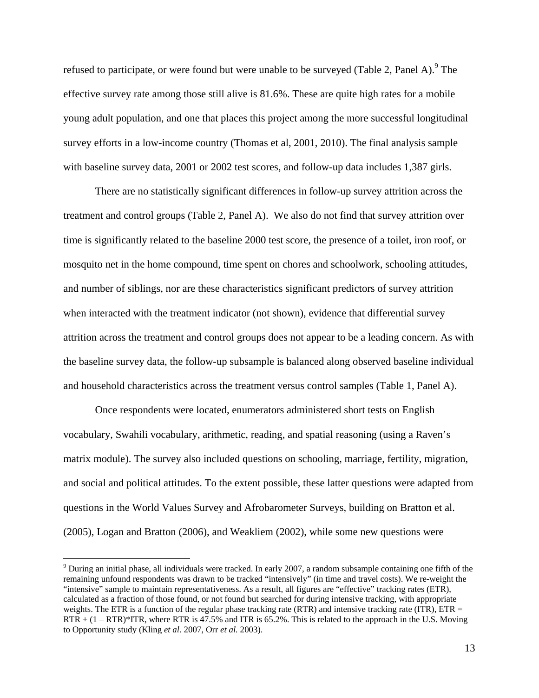refused to participate, or were found but were unable to be surveyed (Table 2, Panel A). <sup>9</sup> The effective survey rate among those still alive is 81.6%. These are quite high rates for a mobile young adult population, and one that places this project among the more successful longitudinal survey efforts in a low-income country (Thomas et al, 2001, 2010). The final analysis sample with baseline survey data, 2001 or 2002 test scores, and follow-up data includes 1,387 girls.

There are no statistically significant differences in follow-up survey attrition across the treatment and control groups (Table 2, Panel A). We also do not find that survey attrition over time is significantly related to the baseline 2000 test score, the presence of a toilet, iron roof, or mosquito net in the home compound, time spent on chores and schoolwork, schooling attitudes, and number of siblings, nor are these characteristics significant predictors of survey attrition when interacted with the treatment indicator (not shown), evidence that differential survey attrition across the treatment and control groups does not appear to be a leading concern. As with the baseline survey data, the follow-up subsample is balanced along observed baseline individual and household characteristics across the treatment versus control samples (Table 1, Panel A).

Once respondents were located, enumerators administered short tests on English vocabulary, Swahili vocabulary, arithmetic, reading, and spatial reasoning (using a Raven's matrix module). The survey also included questions on schooling, marriage, fertility, migration, and social and political attitudes. To the extent possible, these latter questions were adapted from questions in the World Values Survey and Afrobarometer Surveys, building on Bratton et al. (2005), Logan and Bratton (2006), and Weakliem (2002), while some new questions were

<u>.</u>

 $9$  During an initial phase, all individuals were tracked. In early 2007, a random subsample containing one fifth of the remaining unfound respondents was drawn to be tracked "intensively" (in time and travel costs). We re-weight the "intensive" sample to maintain representativeness. As a result, all figures are "effective" tracking rates (ETR), calculated as a fraction of those found, or not found but searched for during intensive tracking, with appropriate weights. The ETR is a function of the regular phase tracking rate (RTR) and intensive tracking rate (ITR),  $ETR =$ RTR + (1 – RTR)\*ITR, where RTR is 47.5% and ITR is 65.2%. This is related to the approach in the U.S. Moving to Opportunity study (Kling *et al.* 2007, Orr *et al.* 2003).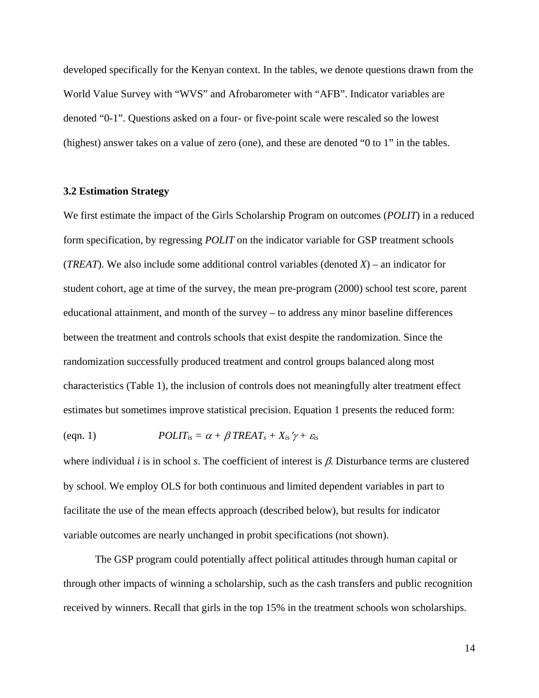developed specifically for the Kenyan context. In the tables, we denote questions drawn from the World Value Survey with "WVS" and Afrobarometer with "AFB". Indicator variables are denoted "0-1". Questions asked on a four- or five-point scale were rescaled so the lowest (highest) answer takes on a value of zero (one), and these are denoted "0 to 1" in the tables.

### **3.2 Estimation Strategy**

We first estimate the impact of the Girls Scholarship Program on outcomes (*POLIT*) in a reduced form specification, by regressing *POLIT* on the indicator variable for GSP treatment schools (*TREAT*). We also include some additional control variables (denoted *X*) – an indicator for student cohort, age at time of the survey, the mean pre-program (2000) school test score, parent educational attainment, and month of the survey – to address any minor baseline differences between the treatment and controls schools that exist despite the randomization. Since the randomization successfully produced treatment and control groups balanced along most characteristics (Table 1), the inclusion of controls does not meaningfully alter treatment effect estimates but sometimes improve statistical precision. Equation 1 presents the reduced form:

(eqn. 1)  $POLIT_{is} = \alpha + \beta \text{ TREAT}_{s} + X_{is} \gamma + \varepsilon_{is}$ 

where individual  $i$  is in school  $s$ . The coefficient of interest is  $\beta$ . Disturbance terms are clustered by school. We employ OLS for both continuous and limited dependent variables in part to facilitate the use of the mean effects approach (described below), but results for indicator variable outcomes are nearly unchanged in probit specifications (not shown).

The GSP program could potentially affect political attitudes through human capital or through other impacts of winning a scholarship, such as the cash transfers and public recognition received by winners. Recall that girls in the top 15% in the treatment schools won scholarships.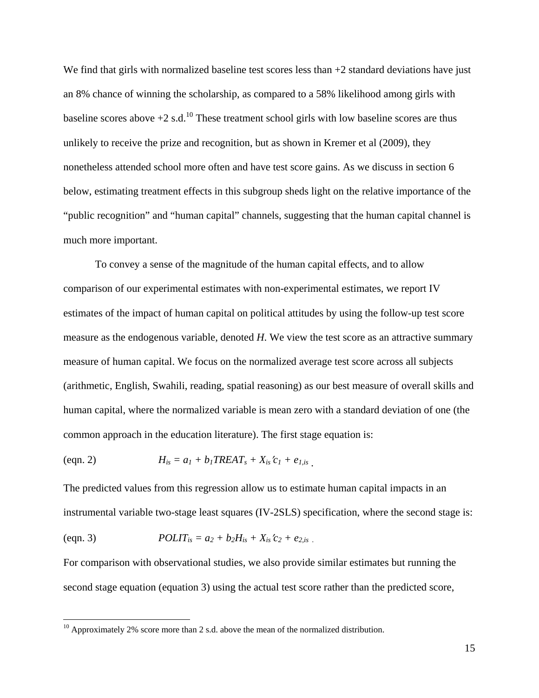We find that girls with normalized baseline test scores less than  $+2$  standard deviations have just an 8% chance of winning the scholarship, as compared to a 58% likelihood among girls with baseline scores above  $+2$  s.d.<sup>10</sup> These treatment school girls with low baseline scores are thus unlikely to receive the prize and recognition, but as shown in Kremer et al (2009), they nonetheless attended school more often and have test score gains. As we discuss in section 6 below, estimating treatment effects in this subgroup sheds light on the relative importance of the "public recognition" and "human capital" channels, suggesting that the human capital channel is much more important.

To convey a sense of the magnitude of the human capital effects, and to allow comparison of our experimental estimates with non-experimental estimates, we report IV estimates of the impact of human capital on political attitudes by using the follow-up test score measure as the endogenous variable, denoted *H*. We view the test score as an attractive summary measure of human capital. We focus on the normalized average test score across all subjects (arithmetic, English, Swahili, reading, spatial reasoning) as our best measure of overall skills and human capital, where the normalized variable is mean zero with a standard deviation of one (the common approach in the education literature). The first stage equation is:

(eqn. 2)

\n
$$
H_{is} = a_1 + b_1 T R E A T_s + X_{is} c_1 + e_{1, is}
$$

The predicted values from this regression allow us to estimate human capital impacts in an instrumental variable two-stage least squares (IV-2SLS) specification, where the second stage is:

(eqn. 3) *POLITis = a2 + b2His + Xisc2 + e2,is .*

 $\overline{a}$ 

For comparison with observational studies, we also provide similar estimates but running the second stage equation (equation 3) using the actual test score rather than the predicted score,

<sup>&</sup>lt;sup>10</sup> Approximately 2% score more than 2 s.d. above the mean of the normalized distribution.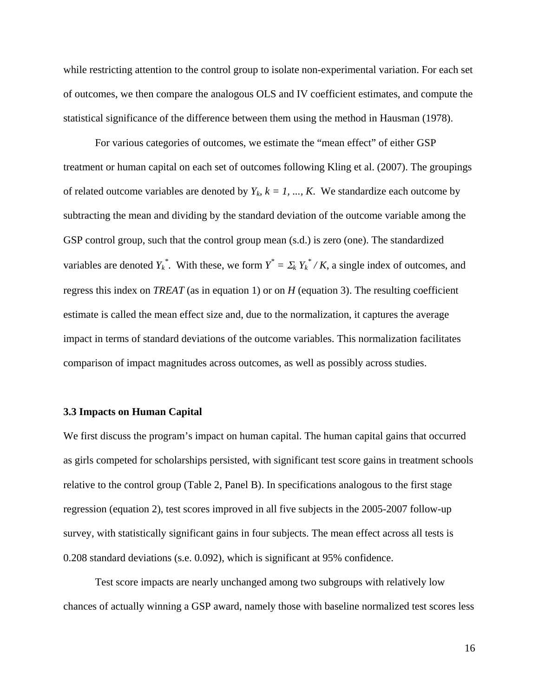while restricting attention to the control group to isolate non-experimental variation. For each set of outcomes, we then compare the analogous OLS and IV coefficient estimates, and compute the statistical significance of the difference between them using the method in Hausman (1978).

 For various categories of outcomes, we estimate the "mean effect" of either GSP treatment or human capital on each set of outcomes following Kling et al. (2007). The groupings of related outcome variables are denoted by  $Y_k$ ,  $k = 1, ..., K$ . We standardize each outcome by subtracting the mean and dividing by the standard deviation of the outcome variable among the GSP control group, such that the control group mean (s.d.) is zero (one). The standardized variables are denoted  $Y_k^*$ . With these, we form  $Y^* = \sum_k Y_k^* / K$ , a single index of outcomes, and regress this index on *TREAT* (as in equation 1) or on *H* (equation 3). The resulting coefficient estimate is called the mean effect size and, due to the normalization, it captures the average impact in terms of standard deviations of the outcome variables. This normalization facilitates comparison of impact magnitudes across outcomes, as well as possibly across studies.

#### **3.3 Impacts on Human Capital**

We first discuss the program's impact on human capital. The human capital gains that occurred as girls competed for scholarships persisted, with significant test score gains in treatment schools relative to the control group (Table 2, Panel B). In specifications analogous to the first stage regression (equation 2), test scores improved in all five subjects in the 2005-2007 follow-up survey, with statistically significant gains in four subjects. The mean effect across all tests is 0.208 standard deviations (s.e. 0.092), which is significant at 95% confidence.

 Test score impacts are nearly unchanged among two subgroups with relatively low chances of actually winning a GSP award, namely those with baseline normalized test scores less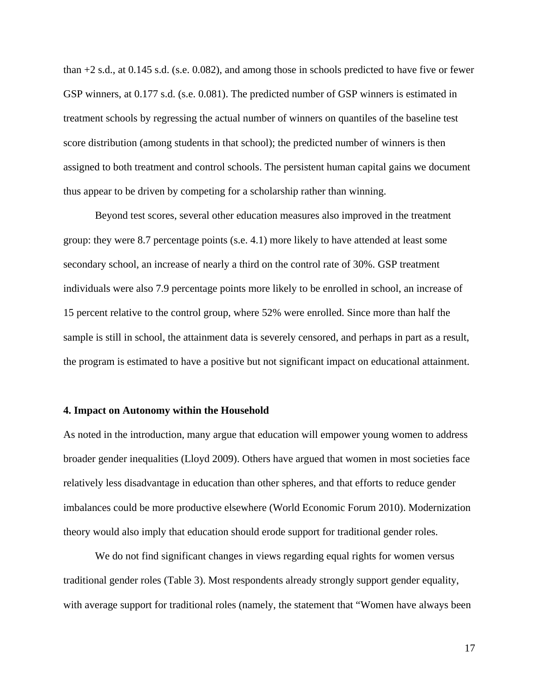than +2 s.d., at 0.145 s.d. (s.e. 0.082), and among those in schools predicted to have five or fewer GSP winners, at 0.177 s.d. (s.e. 0.081). The predicted number of GSP winners is estimated in treatment schools by regressing the actual number of winners on quantiles of the baseline test score distribution (among students in that school); the predicted number of winners is then assigned to both treatment and control schools. The persistent human capital gains we document thus appear to be driven by competing for a scholarship rather than winning.

Beyond test scores, several other education measures also improved in the treatment group: they were 8.7 percentage points (s.e. 4.1) more likely to have attended at least some secondary school, an increase of nearly a third on the control rate of 30%. GSP treatment individuals were also 7.9 percentage points more likely to be enrolled in school, an increase of 15 percent relative to the control group, where 52% were enrolled. Since more than half the sample is still in school, the attainment data is severely censored, and perhaps in part as a result, the program is estimated to have a positive but not significant impact on educational attainment.

#### **4. Impact on Autonomy within the Household**

As noted in the introduction, many argue that education will empower young women to address broader gender inequalities (Lloyd 2009). Others have argued that women in most societies face relatively less disadvantage in education than other spheres, and that efforts to reduce gender imbalances could be more productive elsewhere (World Economic Forum 2010). Modernization theory would also imply that education should erode support for traditional gender roles.

We do not find significant changes in views regarding equal rights for women versus traditional gender roles (Table 3). Most respondents already strongly support gender equality, with average support for traditional roles (namely, the statement that "Women have always been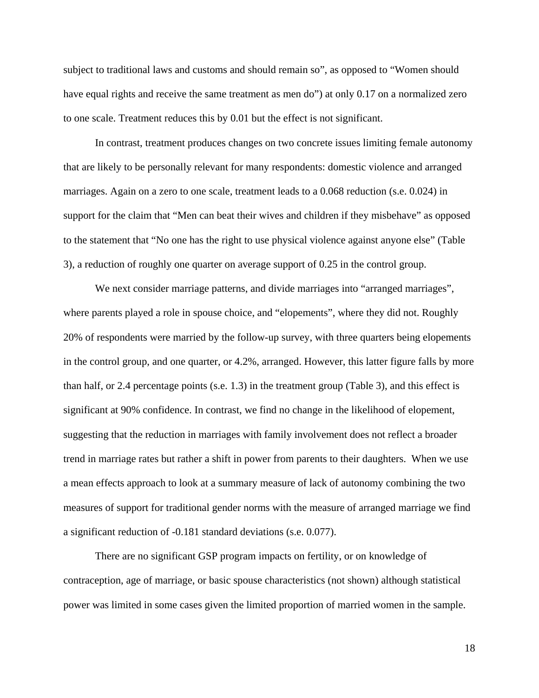subject to traditional laws and customs and should remain so", as opposed to "Women should have equal rights and receive the same treatment as men do") at only 0.17 on a normalized zero to one scale. Treatment reduces this by 0.01 but the effect is not significant.

In contrast, treatment produces changes on two concrete issues limiting female autonomy that are likely to be personally relevant for many respondents: domestic violence and arranged marriages. Again on a zero to one scale, treatment leads to a 0.068 reduction (s.e. 0.024) in support for the claim that "Men can beat their wives and children if they misbehave" as opposed to the statement that "No one has the right to use physical violence against anyone else" (Table 3), a reduction of roughly one quarter on average support of 0.25 in the control group.

We next consider marriage patterns, and divide marriages into "arranged marriages", where parents played a role in spouse choice, and "elopements", where they did not. Roughly 20% of respondents were married by the follow-up survey, with three quarters being elopements in the control group, and one quarter, or 4.2%, arranged. However, this latter figure falls by more than half, or 2.4 percentage points (s.e. 1.3) in the treatment group (Table 3), and this effect is significant at 90% confidence. In contrast, we find no change in the likelihood of elopement, suggesting that the reduction in marriages with family involvement does not reflect a broader trend in marriage rates but rather a shift in power from parents to their daughters. When we use a mean effects approach to look at a summary measure of lack of autonomy combining the two measures of support for traditional gender norms with the measure of arranged marriage we find a significant reduction of -0.181 standard deviations (s.e. 0.077).

There are no significant GSP program impacts on fertility, or on knowledge of contraception, age of marriage, or basic spouse characteristics (not shown) although statistical power was limited in some cases given the limited proportion of married women in the sample.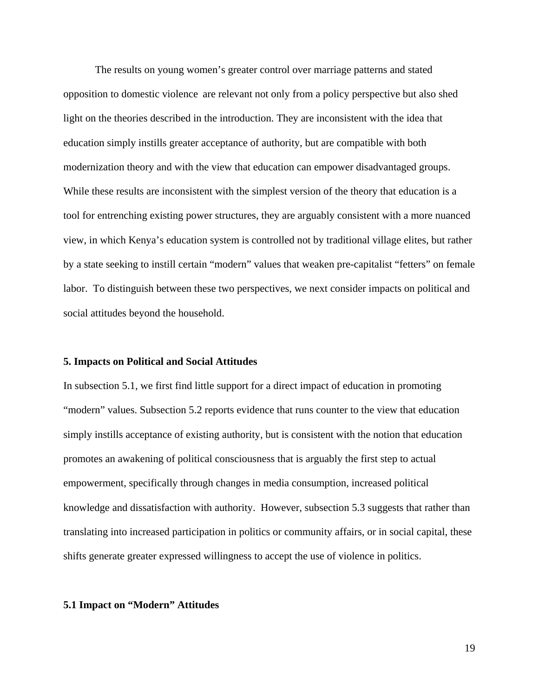The results on young women's greater control over marriage patterns and stated opposition to domestic violence are relevant not only from a policy perspective but also shed light on the theories described in the introduction. They are inconsistent with the idea that education simply instills greater acceptance of authority, but are compatible with both modernization theory and with the view that education can empower disadvantaged groups. While these results are inconsistent with the simplest version of the theory that education is a tool for entrenching existing power structures, they are arguably consistent with a more nuanced view, in which Kenya's education system is controlled not by traditional village elites, but rather by a state seeking to instill certain "modern" values that weaken pre-capitalist "fetters" on female labor. To distinguish between these two perspectives, we next consider impacts on political and social attitudes beyond the household.

### **5. Impacts on Political and Social Attitudes**

In subsection 5.1, we first find little support for a direct impact of education in promoting "modern" values. Subsection 5.2 reports evidence that runs counter to the view that education simply instills acceptance of existing authority, but is consistent with the notion that education promotes an awakening of political consciousness that is arguably the first step to actual empowerment, specifically through changes in media consumption, increased political knowledge and dissatisfaction with authority. However, subsection 5.3 suggests that rather than translating into increased participation in politics or community affairs, or in social capital, these shifts generate greater expressed willingness to accept the use of violence in politics.

#### **5.1 Impact on "Modern" Attitudes**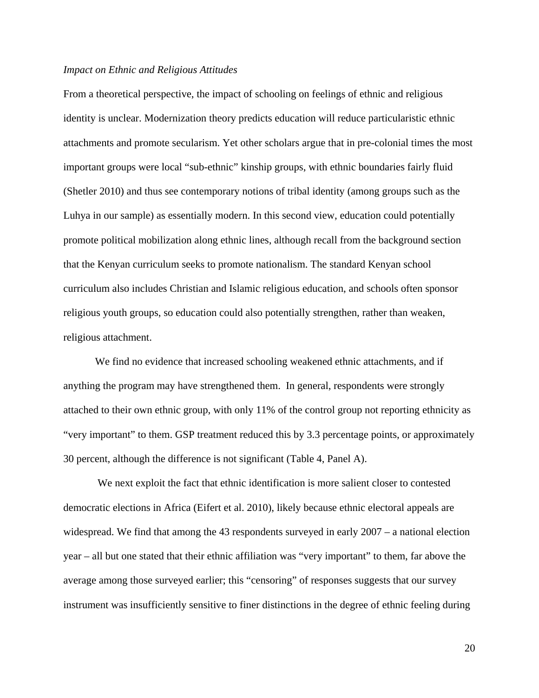#### *Impact on Ethnic and Religious Attitudes*

From a theoretical perspective, the impact of schooling on feelings of ethnic and religious identity is unclear. Modernization theory predicts education will reduce particularistic ethnic attachments and promote secularism. Yet other scholars argue that in pre-colonial times the most important groups were local "sub-ethnic" kinship groups, with ethnic boundaries fairly fluid (Shetler 2010) and thus see contemporary notions of tribal identity (among groups such as the Luhya in our sample) as essentially modern. In this second view, education could potentially promote political mobilization along ethnic lines, although recall from the background section that the Kenyan curriculum seeks to promote nationalism. The standard Kenyan school curriculum also includes Christian and Islamic religious education, and schools often sponsor religious youth groups, so education could also potentially strengthen, rather than weaken, religious attachment.

We find no evidence that increased schooling weakened ethnic attachments, and if anything the program may have strengthened them. In general, respondents were strongly attached to their own ethnic group, with only 11% of the control group not reporting ethnicity as "very important" to them. GSP treatment reduced this by 3.3 percentage points, or approximately 30 percent, although the difference is not significant (Table 4, Panel A).

 We next exploit the fact that ethnic identification is more salient closer to contested democratic elections in Africa (Eifert et al. 2010), likely because ethnic electoral appeals are widespread. We find that among the 43 respondents surveyed in early 2007 – a national election year – all but one stated that their ethnic affiliation was "very important" to them, far above the average among those surveyed earlier; this "censoring" of responses suggests that our survey instrument was insufficiently sensitive to finer distinctions in the degree of ethnic feeling during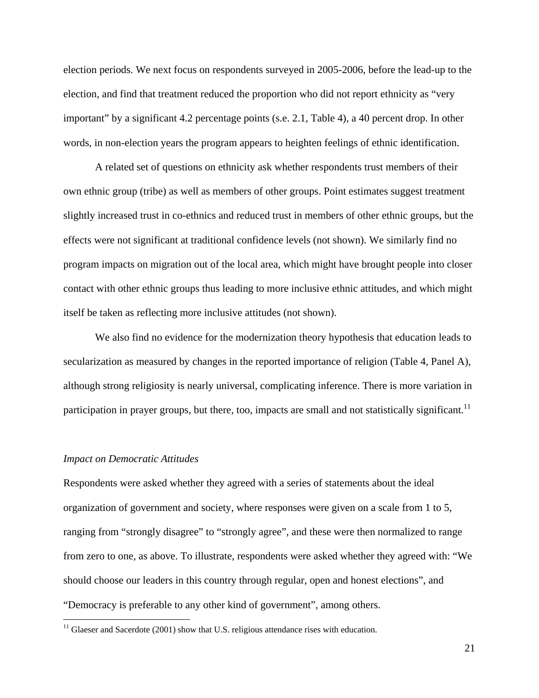election periods. We next focus on respondents surveyed in 2005-2006, before the lead-up to the election, and find that treatment reduced the proportion who did not report ethnicity as "very important" by a significant 4.2 percentage points (s.e. 2.1, Table 4), a 40 percent drop. In other words, in non-election years the program appears to heighten feelings of ethnic identification.

A related set of questions on ethnicity ask whether respondents trust members of their own ethnic group (tribe) as well as members of other groups. Point estimates suggest treatment slightly increased trust in co-ethnics and reduced trust in members of other ethnic groups, but the effects were not significant at traditional confidence levels (not shown). We similarly find no program impacts on migration out of the local area, which might have brought people into closer contact with other ethnic groups thus leading to more inclusive ethnic attitudes, and which might itself be taken as reflecting more inclusive attitudes (not shown).

We also find no evidence for the modernization theory hypothesis that education leads to secularization as measured by changes in the reported importance of religion (Table 4, Panel A), although strong religiosity is nearly universal, complicating inference. There is more variation in participation in prayer groups, but there, too, impacts are small and not statistically significant.<sup>11</sup>

### *Impact on Democratic Attitudes*

 $\overline{a}$ 

Respondents were asked whether they agreed with a series of statements about the ideal organization of government and society, where responses were given on a scale from 1 to 5, ranging from "strongly disagree" to "strongly agree", and these were then normalized to range from zero to one, as above. To illustrate, respondents were asked whether they agreed with: "We should choose our leaders in this country through regular, open and honest elections", and "Democracy is preferable to any other kind of government", among others.

 $11$  Glaeser and Sacerdote (2001) show that U.S. religious attendance rises with education.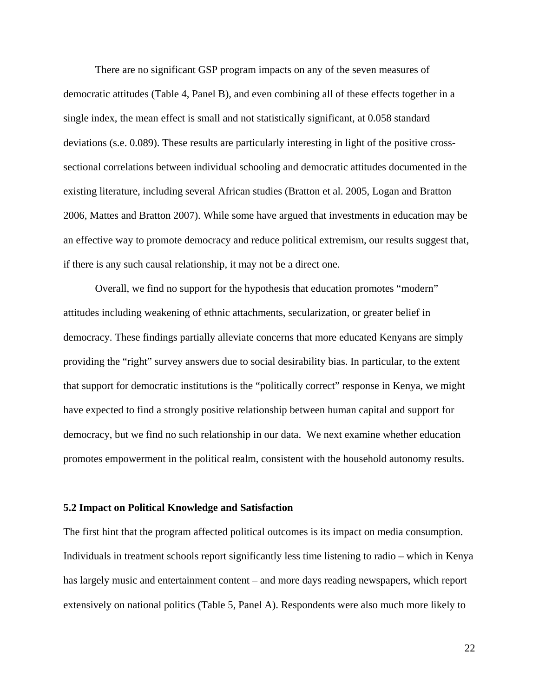There are no significant GSP program impacts on any of the seven measures of democratic attitudes (Table 4, Panel B), and even combining all of these effects together in a single index, the mean effect is small and not statistically significant, at 0.058 standard deviations (s.e. 0.089). These results are particularly interesting in light of the positive crosssectional correlations between individual schooling and democratic attitudes documented in the existing literature, including several African studies (Bratton et al. 2005, Logan and Bratton 2006, Mattes and Bratton 2007). While some have argued that investments in education may be an effective way to promote democracy and reduce political extremism, our results suggest that, if there is any such causal relationship, it may not be a direct one.

Overall, we find no support for the hypothesis that education promotes "modern" attitudes including weakening of ethnic attachments, secularization, or greater belief in democracy. These findings partially alleviate concerns that more educated Kenyans are simply providing the "right" survey answers due to social desirability bias. In particular, to the extent that support for democratic institutions is the "politically correct" response in Kenya, we might have expected to find a strongly positive relationship between human capital and support for democracy, but we find no such relationship in our data. We next examine whether education promotes empowerment in the political realm, consistent with the household autonomy results.

#### **5.2 Impact on Political Knowledge and Satisfaction**

The first hint that the program affected political outcomes is its impact on media consumption. Individuals in treatment schools report significantly less time listening to radio – which in Kenya has largely music and entertainment content – and more days reading newspapers, which report extensively on national politics (Table 5, Panel A). Respondents were also much more likely to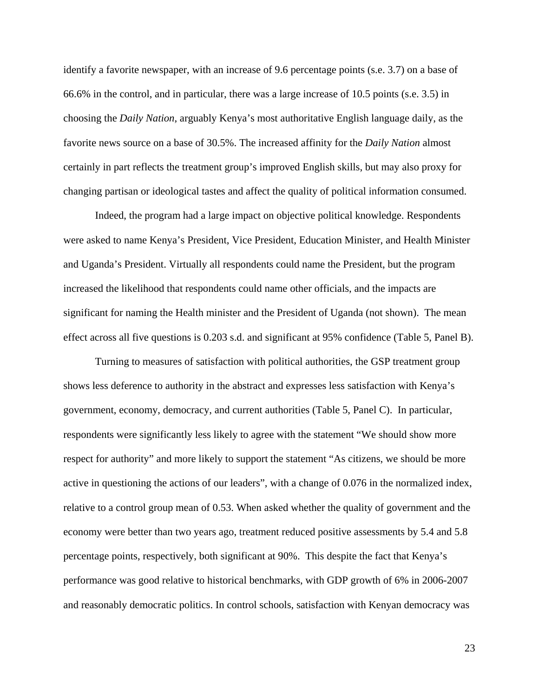identify a favorite newspaper, with an increase of 9.6 percentage points (s.e. 3.7) on a base of 66.6% in the control, and in particular, there was a large increase of 10.5 points (s.e. 3.5) in choosing the *Daily Nation*, arguably Kenya's most authoritative English language daily, as the favorite news source on a base of 30.5%. The increased affinity for the *Daily Nation* almost certainly in part reflects the treatment group's improved English skills, but may also proxy for changing partisan or ideological tastes and affect the quality of political information consumed.

Indeed, the program had a large impact on objective political knowledge. Respondents were asked to name Kenya's President, Vice President, Education Minister, and Health Minister and Uganda's President. Virtually all respondents could name the President, but the program increased the likelihood that respondents could name other officials, and the impacts are significant for naming the Health minister and the President of Uganda (not shown). The mean effect across all five questions is 0.203 s.d. and significant at 95% confidence (Table 5, Panel B).

Turning to measures of satisfaction with political authorities, the GSP treatment group shows less deference to authority in the abstract and expresses less satisfaction with Kenya's government, economy, democracy, and current authorities (Table 5, Panel C). In particular, respondents were significantly less likely to agree with the statement "We should show more respect for authority" and more likely to support the statement "As citizens, we should be more active in questioning the actions of our leaders", with a change of 0.076 in the normalized index, relative to a control group mean of 0.53. When asked whether the quality of government and the economy were better than two years ago, treatment reduced positive assessments by 5.4 and 5.8 percentage points, respectively, both significant at 90%. This despite the fact that Kenya's performance was good relative to historical benchmarks, with GDP growth of 6% in 2006-2007 and reasonably democratic politics. In control schools, satisfaction with Kenyan democracy was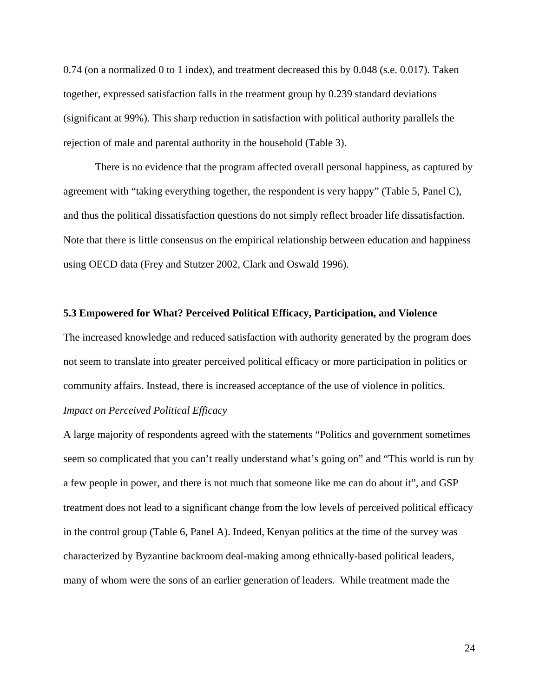0.74 (on a normalized 0 to 1 index), and treatment decreased this by 0.048 (s.e. 0.017). Taken together, expressed satisfaction falls in the treatment group by 0.239 standard deviations (significant at 99%). This sharp reduction in satisfaction with political authority parallels the rejection of male and parental authority in the household (Table 3).

 There is no evidence that the program affected overall personal happiness, as captured by agreement with "taking everything together, the respondent is very happy" (Table 5, Panel C), and thus the political dissatisfaction questions do not simply reflect broader life dissatisfaction. Note that there is little consensus on the empirical relationship between education and happiness using OECD data (Frey and Stutzer 2002, Clark and Oswald 1996).

#### **5.3 Empowered for What? Perceived Political Efficacy, Participation, and Violence**

The increased knowledge and reduced satisfaction with authority generated by the program does not seem to translate into greater perceived political efficacy or more participation in politics or community affairs. Instead, there is increased acceptance of the use of violence in politics.

# *Impact on Perceived Political Efficacy*

A large majority of respondents agreed with the statements "Politics and government sometimes seem so complicated that you can't really understand what's going on" and "This world is run by a few people in power, and there is not much that someone like me can do about it", and GSP treatment does not lead to a significant change from the low levels of perceived political efficacy in the control group (Table 6, Panel A). Indeed, Kenyan politics at the time of the survey was characterized by Byzantine backroom deal-making among ethnically-based political leaders, many of whom were the sons of an earlier generation of leaders. While treatment made the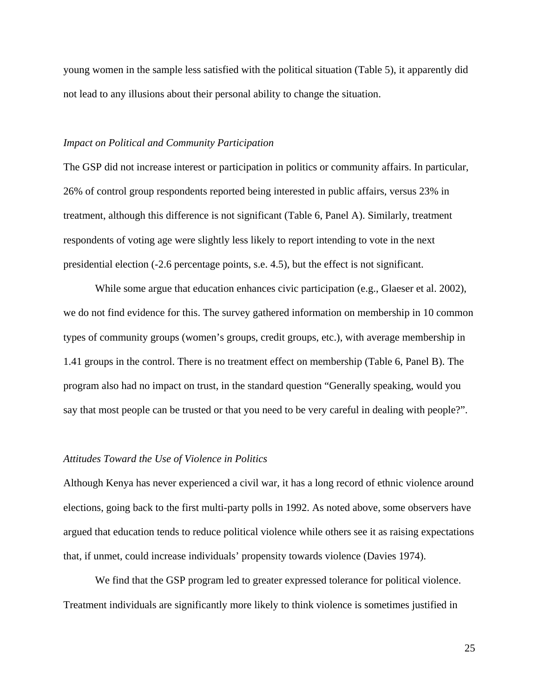young women in the sample less satisfied with the political situation (Table 5), it apparently did not lead to any illusions about their personal ability to change the situation.

## *Impact on Political and Community Participation*

The GSP did not increase interest or participation in politics or community affairs. In particular, 26% of control group respondents reported being interested in public affairs, versus 23% in treatment, although this difference is not significant (Table 6, Panel A). Similarly, treatment respondents of voting age were slightly less likely to report intending to vote in the next presidential election (-2.6 percentage points, s.e. 4.5), but the effect is not significant.

While some argue that education enhances civic participation (e.g., Glaeser et al. 2002), we do not find evidence for this. The survey gathered information on membership in 10 common types of community groups (women's groups, credit groups, etc.), with average membership in 1.41 groups in the control. There is no treatment effect on membership (Table 6, Panel B). The program also had no impact on trust, in the standard question "Generally speaking, would you say that most people can be trusted or that you need to be very careful in dealing with people?".

### *Attitudes Toward the Use of Violence in Politics*

Although Kenya has never experienced a civil war, it has a long record of ethnic violence around elections, going back to the first multi-party polls in 1992. As noted above, some observers have argued that education tends to reduce political violence while others see it as raising expectations that, if unmet, could increase individuals' propensity towards violence (Davies 1974).

We find that the GSP program led to greater expressed tolerance for political violence. Treatment individuals are significantly more likely to think violence is sometimes justified in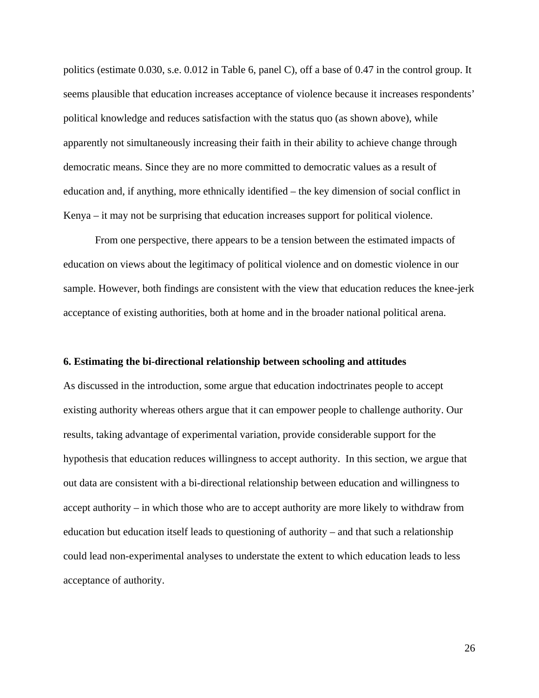politics (estimate 0.030, s.e. 0.012 in Table 6, panel C), off a base of 0.47 in the control group. It seems plausible that education increases acceptance of violence because it increases respondents' political knowledge and reduces satisfaction with the status quo (as shown above), while apparently not simultaneously increasing their faith in their ability to achieve change through democratic means. Since they are no more committed to democratic values as a result of education and, if anything, more ethnically identified – the key dimension of social conflict in Kenya – it may not be surprising that education increases support for political violence.

From one perspective, there appears to be a tension between the estimated impacts of education on views about the legitimacy of political violence and on domestic violence in our sample. However, both findings are consistent with the view that education reduces the knee-jerk acceptance of existing authorities, both at home and in the broader national political arena.

### **6. Estimating the bi-directional relationship between schooling and attitudes**

As discussed in the introduction, some argue that education indoctrinates people to accept existing authority whereas others argue that it can empower people to challenge authority. Our results, taking advantage of experimental variation, provide considerable support for the hypothesis that education reduces willingness to accept authority. In this section, we argue that out data are consistent with a bi-directional relationship between education and willingness to accept authority – in which those who are to accept authority are more likely to withdraw from education but education itself leads to questioning of authority – and that such a relationship could lead non-experimental analyses to understate the extent to which education leads to less acceptance of authority.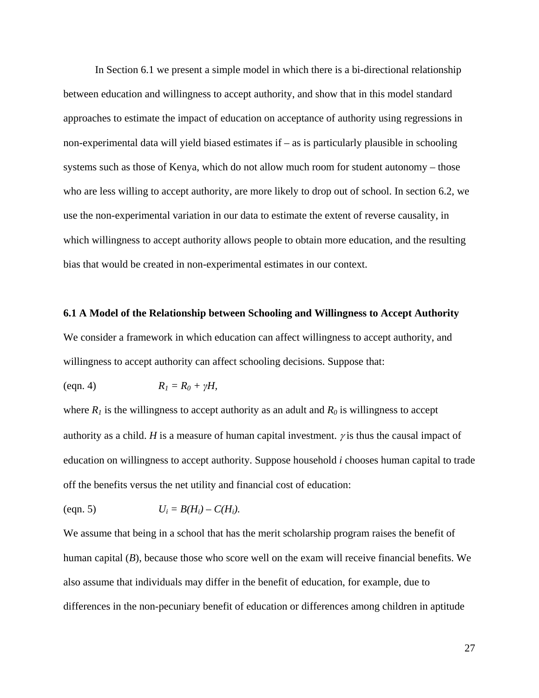In Section 6.1 we present a simple model in which there is a bi-directional relationship between education and willingness to accept authority, and show that in this model standard approaches to estimate the impact of education on acceptance of authority using regressions in non-experimental data will yield biased estimates if – as is particularly plausible in schooling systems such as those of Kenya, which do not allow much room for student autonomy – those who are less willing to accept authority, are more likely to drop out of school. In section 6.2, we use the non-experimental variation in our data to estimate the extent of reverse causality, in which willingness to accept authority allows people to obtain more education, and the resulting bias that would be created in non-experimental estimates in our context.

#### **6.1 A Model of the Relationship between Schooling and Willingness to Accept Authority**

We consider a framework in which education can affect willingness to accept authority, and willingness to accept authority can affect schooling decisions. Suppose that:

$$
(eqn. 4) \t\t RI = R0 + \gamma H,
$$

where  $R_1$  is the willingness to accept authority as an adult and  $R_0$  is willingness to accept authority as a child. *H* is a measure of human capital investment.  $\gamma$  is thus the causal impact of education on willingness to accept authority. Suppose household *i* chooses human capital to trade off the benefits versus the net utility and financial cost of education:

$$
(eqn. 5) \t U_i = B(H_i) - C(H_i).
$$

We assume that being in a school that has the merit scholarship program raises the benefit of human capital (*B*), because those who score well on the exam will receive financial benefits. We also assume that individuals may differ in the benefit of education, for example, due to differences in the non-pecuniary benefit of education or differences among children in aptitude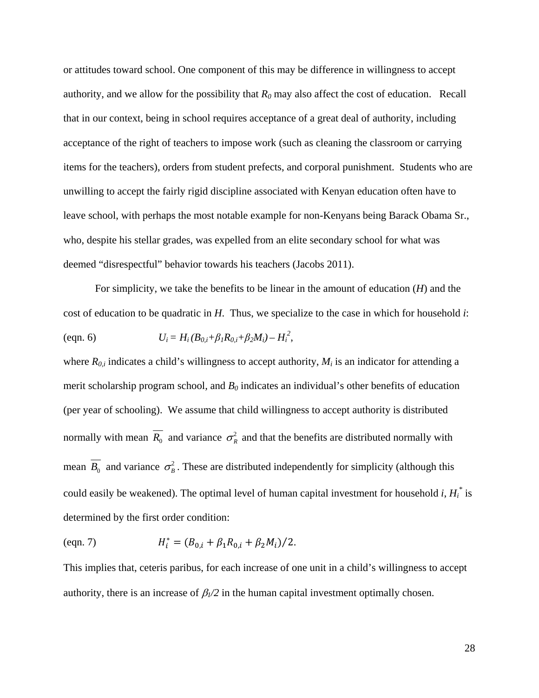or attitudes toward school. One component of this may be difference in willingness to accept authority, and we allow for the possibility that  $R_0$  may also affect the cost of education. Recall that in our context, being in school requires acceptance of a great deal of authority, including acceptance of the right of teachers to impose work (such as cleaning the classroom or carrying items for the teachers), orders from student prefects, and corporal punishment. Students who are unwilling to accept the fairly rigid discipline associated with Kenyan education often have to leave school, with perhaps the most notable example for non-Kenyans being Barack Obama Sr., who, despite his stellar grades, was expelled from an elite secondary school for what was deemed "disrespectful" behavior towards his teachers (Jacobs 2011).

For simplicity, we take the benefits to be linear in the amount of education (*H*) and the cost of education to be quadratic in *H*.Thus, we specialize to the case in which for household *i*: (eqn. 6)  $U_i = H_i (B_{0,i} + \beta_l R_{0,i} + \beta_2 M_i) - H_i^2$ ,

where  $R_{0,i}$  indicates a child's willingness to accept authority,  $M_i$  is an indicator for attending a merit scholarship program school, and  $B_0$  indicates an individual's other benefits of education (per year of schooling). We assume that child willingness to accept authority is distributed normally with mean  $\overline{R_0}$  and variance  $\sigma_R^2$  and that the benefits are distributed normally with mean  $\overline{B_0}$  and variance  $\sigma_B^2$ . These are distributed independently for simplicity (although this could easily be weakened). The optimal level of human capital investment for household *i*, *Hi \** is determined by the first order condition:

$$
H_i^* = (B_{0,i} + \beta_1 R_{0,i} + \beta_2 M_i)/2.
$$

This implies that, ceteris paribus, for each increase of one unit in a child's willingness to accept authority, there is an increase of  $\beta$ <sub>*l*</sub> $\alpha$ <sup>2</sup> in the human capital investment optimally chosen.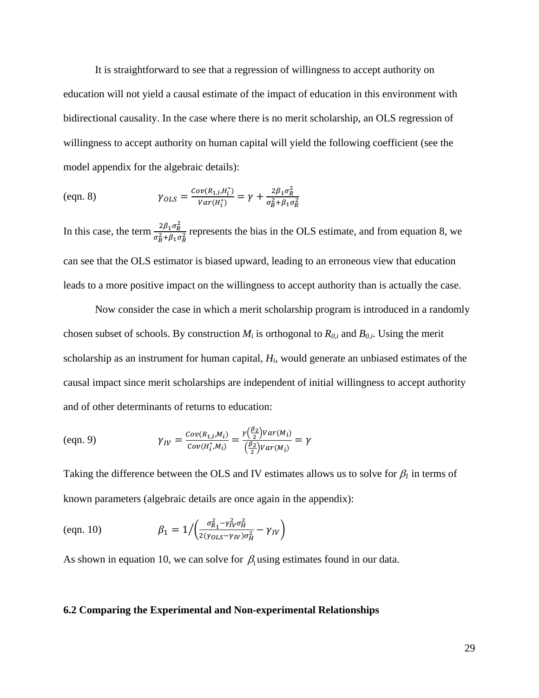It is straightforward to see that a regression of willingness to accept authority on education will not yield a causal estimate of the impact of education in this environment with bidirectional causality. In the case where there is no merit scholarship, an OLS regression of willingness to accept authority on human capital will yield the following coefficient (see the model appendix for the algebraic details):

(eqn. 8)

\n
$$
\gamma_{OLS} = \frac{Cov(R_{1,i}, H_i^*)}{Var(H_i^*)} = \gamma + \frac{2\beta_1 \sigma_R^2}{\sigma_B^2 + \beta_1 \sigma_R^2}
$$

In this case, the term  $\frac{2\beta_1 \sigma_R^2}{r^2}$  $\frac{2p_1 \sigma_R}{\sigma_B^2 + \beta_1 \sigma_R^2}$  represents the bias in the OLS estimate, and from equation 8, we can see that the OLS estimator is biased upward, leading to an erroneous view that education leads to a more positive impact on the willingness to accept authority than is actually the case.

Now consider the case in which a merit scholarship program is introduced in a randomly chosen subset of schools. By construction  $M_i$  is orthogonal to  $R_{0,i}$  and  $B_{0,i}$ . Using the merit scholarship as an instrument for human capital, *Hi*, would generate an unbiased estimates of the causal impact since merit scholarships are independent of initial willingness to accept authority and of other determinants of returns to education:

$$
\gamma_{IV} = \frac{\text{Cov}(R_{1,i}, M_i)}{\text{Cov}(H_i^*, M_i)} = \frac{\gamma(\frac{\beta_2}{2})\text{Var}(M_i)}{(\frac{\beta_2}{2})\text{Var}(M_i)} = \gamma
$$

Taking the difference between the OLS and IV estimates allows us to solve for  $\beta_l$  in terms of known parameters (algebraic details are once again in the appendix):

$$
\text{(eqn. 10)} \quad \beta_1 = 1 / \left( \frac{\sigma_{R_1}^2 - \gamma_{IV}^2 \sigma_H^2}{2(\gamma_{OLS} - \gamma_{IV}) \sigma_H^2} - \gamma_{IV} \right)
$$

As shown in equation 10, we can solve for  $\beta_1$  using estimates found in our data.

### **6.2 Comparing the Experimental and Non-experimental Relationships**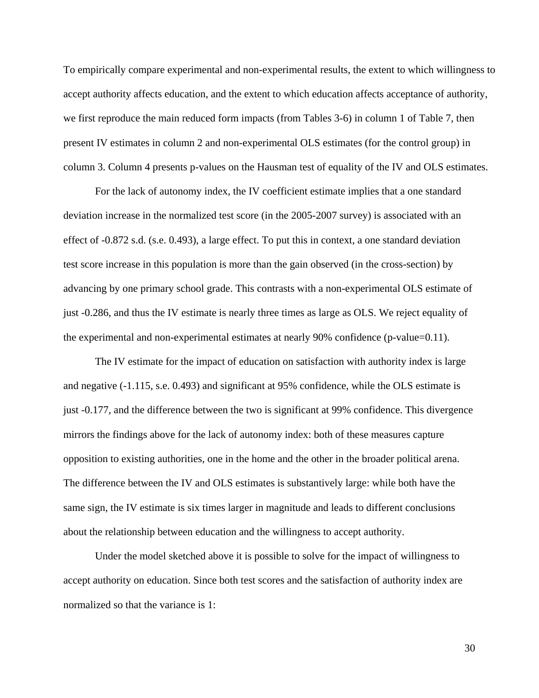To empirically compare experimental and non-experimental results, the extent to which willingness to accept authority affects education, and the extent to which education affects acceptance of authority, we first reproduce the main reduced form impacts (from Tables 3-6) in column 1 of Table 7, then present IV estimates in column 2 and non-experimental OLS estimates (for the control group) in column 3. Column 4 presents p-values on the Hausman test of equality of the IV and OLS estimates.

For the lack of autonomy index, the IV coefficient estimate implies that a one standard deviation increase in the normalized test score (in the 2005-2007 survey) is associated with an effect of -0.872 s.d. (s.e. 0.493), a large effect. To put this in context, a one standard deviation test score increase in this population is more than the gain observed (in the cross-section) by advancing by one primary school grade. This contrasts with a non-experimental OLS estimate of just -0.286, and thus the IV estimate is nearly three times as large as OLS. We reject equality of the experimental and non-experimental estimates at nearly 90% confidence (p-value=0.11).

The IV estimate for the impact of education on satisfaction with authority index is large and negative (-1.115, s.e. 0.493) and significant at 95% confidence, while the OLS estimate is just -0.177, and the difference between the two is significant at 99% confidence. This divergence mirrors the findings above for the lack of autonomy index: both of these measures capture opposition to existing authorities, one in the home and the other in the broader political arena. The difference between the IV and OLS estimates is substantively large: while both have the same sign, the IV estimate is six times larger in magnitude and leads to different conclusions about the relationship between education and the willingness to accept authority.

Under the model sketched above it is possible to solve for the impact of willingness to accept authority on education. Since both test scores and the satisfaction of authority index are normalized so that the variance is 1: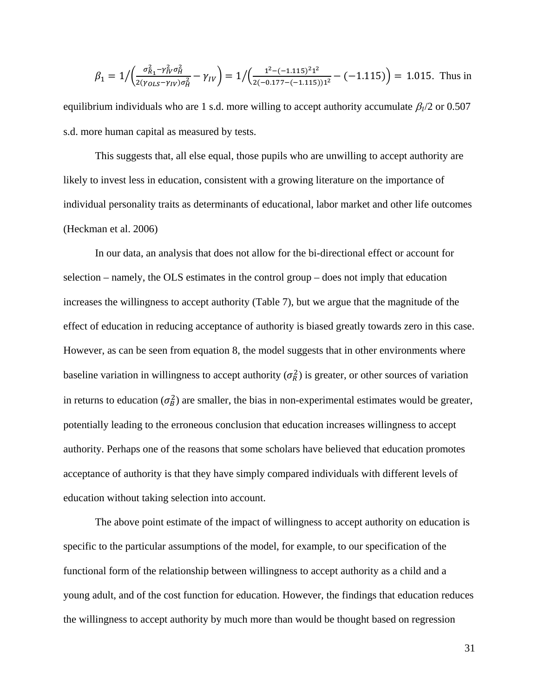$$
\beta_1 = 1 / \left( \frac{\sigma_{R_1}^2 - \gamma_{IV}^2 \sigma_H^2}{2(\gamma_{OLS} - \gamma_{IV})\sigma_H^2} - \gamma_{IV} \right) = 1 / \left( \frac{1^2 - (-1.115)^2 1^2}{2(-0.177 - (-1.115))1^2} - (-1.115) \right) = 1.015.
$$
 Thus in

equilibrium individuals who are 1 s.d. more willing to accept authority accumulate  $\beta_1/2$  or 0.507 s.d. more human capital as measured by tests.

This suggests that, all else equal, those pupils who are unwilling to accept authority are likely to invest less in education, consistent with a growing literature on the importance of individual personality traits as determinants of educational, labor market and other life outcomes (Heckman et al. 2006)

In our data, an analysis that does not allow for the bi-directional effect or account for selection – namely, the OLS estimates in the control group – does not imply that education increases the willingness to accept authority (Table 7), but we argue that the magnitude of the effect of education in reducing acceptance of authority is biased greatly towards zero in this case. However, as can be seen from equation 8, the model suggests that in other environments where baseline variation in willingness to accept authority  $(\sigma_R^2)$  is greater, or other sources of variation in returns to education  $(\sigma_B^2)$  are smaller, the bias in non-experimental estimates would be greater, potentially leading to the erroneous conclusion that education increases willingness to accept authority. Perhaps one of the reasons that some scholars have believed that education promotes acceptance of authority is that they have simply compared individuals with different levels of education without taking selection into account.

The above point estimate of the impact of willingness to accept authority on education is specific to the particular assumptions of the model, for example, to our specification of the functional form of the relationship between willingness to accept authority as a child and a young adult, and of the cost function for education. However, the findings that education reduces the willingness to accept authority by much more than would be thought based on regression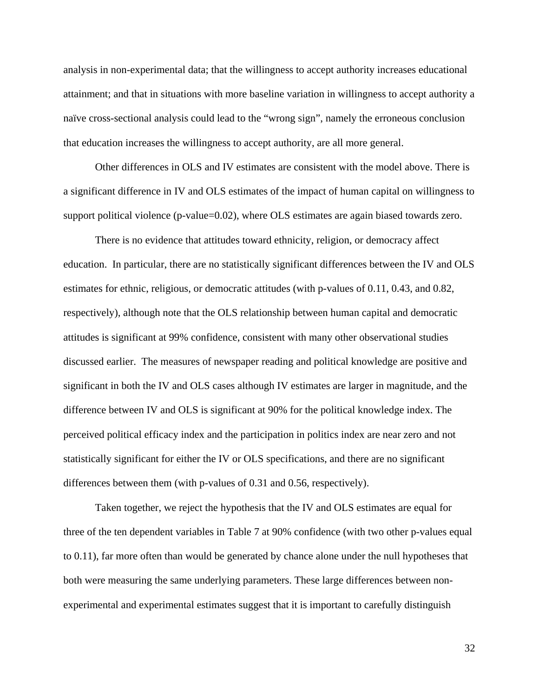analysis in non-experimental data; that the willingness to accept authority increases educational attainment; and that in situations with more baseline variation in willingness to accept authority a naïve cross-sectional analysis could lead to the "wrong sign", namely the erroneous conclusion that education increases the willingness to accept authority, are all more general.

Other differences in OLS and IV estimates are consistent with the model above. There is a significant difference in IV and OLS estimates of the impact of human capital on willingness to support political violence (p-value=0.02), where OLS estimates are again biased towards zero.

There is no evidence that attitudes toward ethnicity, religion, or democracy affect education. In particular, there are no statistically significant differences between the IV and OLS estimates for ethnic, religious, or democratic attitudes (with p-values of 0.11, 0.43, and 0.82, respectively), although note that the OLS relationship between human capital and democratic attitudes is significant at 99% confidence, consistent with many other observational studies discussed earlier. The measures of newspaper reading and political knowledge are positive and significant in both the IV and OLS cases although IV estimates are larger in magnitude, and the difference between IV and OLS is significant at 90% for the political knowledge index. The perceived political efficacy index and the participation in politics index are near zero and not statistically significant for either the IV or OLS specifications, and there are no significant differences between them (with p-values of 0.31 and 0.56, respectively).

Taken together, we reject the hypothesis that the IV and OLS estimates are equal for three of the ten dependent variables in Table 7 at 90% confidence (with two other p-values equal to 0.11), far more often than would be generated by chance alone under the null hypotheses that both were measuring the same underlying parameters. These large differences between nonexperimental and experimental estimates suggest that it is important to carefully distinguish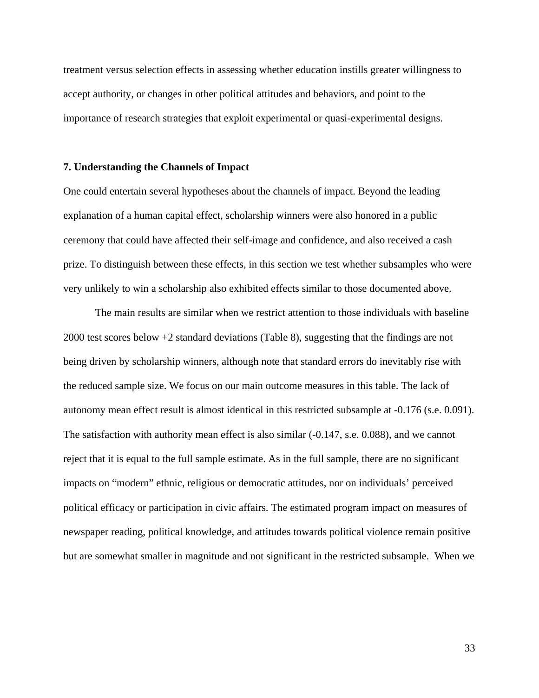treatment versus selection effects in assessing whether education instills greater willingness to accept authority, or changes in other political attitudes and behaviors, and point to the importance of research strategies that exploit experimental or quasi-experimental designs.

#### **7. Understanding the Channels of Impact**

One could entertain several hypotheses about the channels of impact. Beyond the leading explanation of a human capital effect, scholarship winners were also honored in a public ceremony that could have affected their self-image and confidence, and also received a cash prize. To distinguish between these effects, in this section we test whether subsamples who were very unlikely to win a scholarship also exhibited effects similar to those documented above.

The main results are similar when we restrict attention to those individuals with baseline 2000 test scores below +2 standard deviations (Table 8), suggesting that the findings are not being driven by scholarship winners, although note that standard errors do inevitably rise with the reduced sample size. We focus on our main outcome measures in this table. The lack of autonomy mean effect result is almost identical in this restricted subsample at -0.176 (s.e. 0.091). The satisfaction with authority mean effect is also similar  $(-0.147, \text{ s.e. } 0.088)$ , and we cannot reject that it is equal to the full sample estimate. As in the full sample, there are no significant impacts on "modern" ethnic, religious or democratic attitudes, nor on individuals' perceived political efficacy or participation in civic affairs. The estimated program impact on measures of newspaper reading, political knowledge, and attitudes towards political violence remain positive but are somewhat smaller in magnitude and not significant in the restricted subsample. When we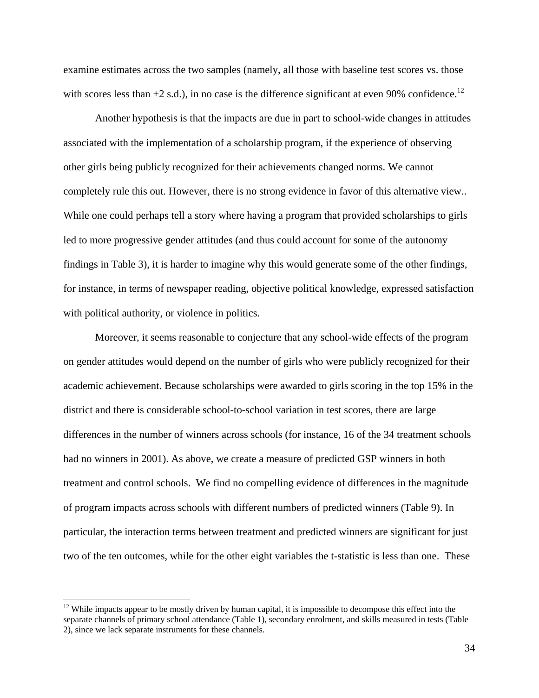examine estimates across the two samples (namely, all those with baseline test scores vs. those with scores less than  $+2$  s.d.), in no case is the difference significant at even 90% confidence.<sup>12</sup>

Another hypothesis is that the impacts are due in part to school-wide changes in attitudes associated with the implementation of a scholarship program, if the experience of observing other girls being publicly recognized for their achievements changed norms. We cannot completely rule this out. However, there is no strong evidence in favor of this alternative view.. While one could perhaps tell a story where having a program that provided scholarships to girls led to more progressive gender attitudes (and thus could account for some of the autonomy findings in Table 3), it is harder to imagine why this would generate some of the other findings, for instance, in terms of newspaper reading, objective political knowledge, expressed satisfaction with political authority, or violence in politics.

Moreover, it seems reasonable to conjecture that any school-wide effects of the program on gender attitudes would depend on the number of girls who were publicly recognized for their academic achievement. Because scholarships were awarded to girls scoring in the top 15% in the district and there is considerable school-to-school variation in test scores, there are large differences in the number of winners across schools (for instance, 16 of the 34 treatment schools had no winners in 2001). As above, we create a measure of predicted GSP winners in both treatment and control schools. We find no compelling evidence of differences in the magnitude of program impacts across schools with different numbers of predicted winners (Table 9). In particular, the interaction terms between treatment and predicted winners are significant for just two of the ten outcomes, while for the other eight variables the t-statistic is less than one. These

 $\overline{a}$ 

 $12$  While impacts appear to be mostly driven by human capital, it is impossible to decompose this effect into the separate channels of primary school attendance (Table 1), secondary enrolment, and skills measured in tests (Table 2), since we lack separate instruments for these channels.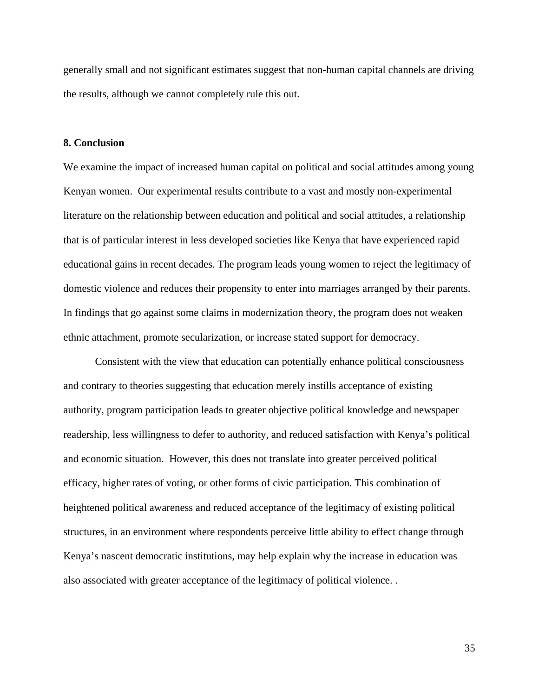generally small and not significant estimates suggest that non-human capital channels are driving the results, although we cannot completely rule this out.

#### **8. Conclusion**

We examine the impact of increased human capital on political and social attitudes among young Kenyan women. Our experimental results contribute to a vast and mostly non-experimental literature on the relationship between education and political and social attitudes, a relationship that is of particular interest in less developed societies like Kenya that have experienced rapid educational gains in recent decades. The program leads young women to reject the legitimacy of domestic violence and reduces their propensity to enter into marriages arranged by their parents. In findings that go against some claims in modernization theory, the program does not weaken ethnic attachment, promote secularization, or increase stated support for democracy.

Consistent with the view that education can potentially enhance political consciousness and contrary to theories suggesting that education merely instills acceptance of existing authority, program participation leads to greater objective political knowledge and newspaper readership, less willingness to defer to authority, and reduced satisfaction with Kenya's political and economic situation. However, this does not translate into greater perceived political efficacy, higher rates of voting, or other forms of civic participation. This combination of heightened political awareness and reduced acceptance of the legitimacy of existing political structures, in an environment where respondents perceive little ability to effect change through Kenya's nascent democratic institutions, may help explain why the increase in education was also associated with greater acceptance of the legitimacy of political violence. .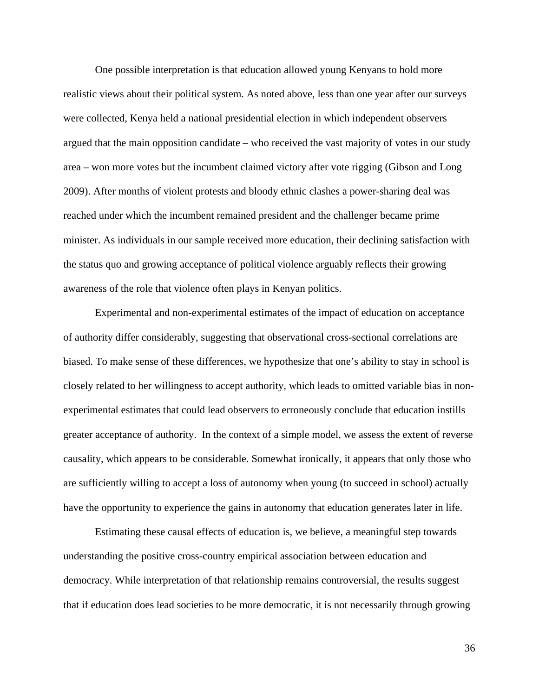One possible interpretation is that education allowed young Kenyans to hold more realistic views about their political system. As noted above, less than one year after our surveys were collected, Kenya held a national presidential election in which independent observers argued that the main opposition candidate – who received the vast majority of votes in our study area – won more votes but the incumbent claimed victory after vote rigging (Gibson and Long 2009). After months of violent protests and bloody ethnic clashes a power-sharing deal was reached under which the incumbent remained president and the challenger became prime minister. As individuals in our sample received more education, their declining satisfaction with the status quo and growing acceptance of political violence arguably reflects their growing awareness of the role that violence often plays in Kenyan politics.

Experimental and non-experimental estimates of the impact of education on acceptance of authority differ considerably, suggesting that observational cross-sectional correlations are biased. To make sense of these differences, we hypothesize that one's ability to stay in school is closely related to her willingness to accept authority, which leads to omitted variable bias in nonexperimental estimates that could lead observers to erroneously conclude that education instills greater acceptance of authority. In the context of a simple model, we assess the extent of reverse causality, which appears to be considerable. Somewhat ironically, it appears that only those who are sufficiently willing to accept a loss of autonomy when young (to succeed in school) actually have the opportunity to experience the gains in autonomy that education generates later in life.

Estimating these causal effects of education is, we believe, a meaningful step towards understanding the positive cross-country empirical association between education and democracy. While interpretation of that relationship remains controversial, the results suggest that if education does lead societies to be more democratic, it is not necessarily through growing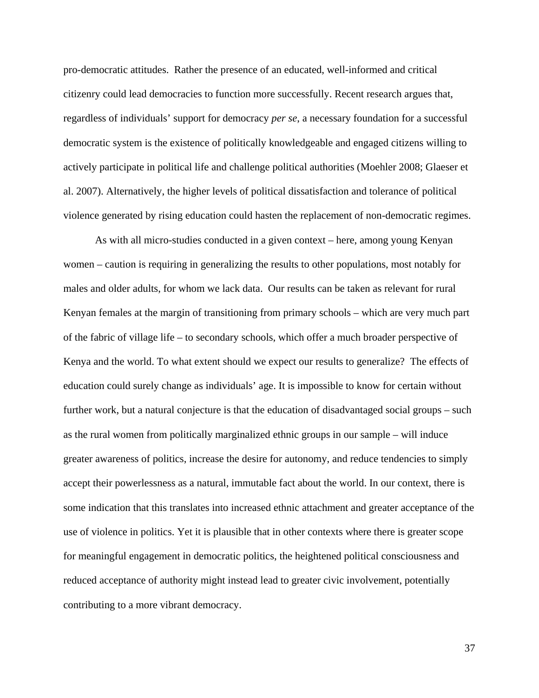pro-democratic attitudes. Rather the presence of an educated, well-informed and critical citizenry could lead democracies to function more successfully. Recent research argues that, regardless of individuals' support for democracy *per se*, a necessary foundation for a successful democratic system is the existence of politically knowledgeable and engaged citizens willing to actively participate in political life and challenge political authorities (Moehler 2008; Glaeser et al. 2007). Alternatively, the higher levels of political dissatisfaction and tolerance of political violence generated by rising education could hasten the replacement of non-democratic regimes.

As with all micro-studies conducted in a given context – here, among young Kenyan women – caution is requiring in generalizing the results to other populations, most notably for males and older adults, for whom we lack data. Our results can be taken as relevant for rural Kenyan females at the margin of transitioning from primary schools – which are very much part of the fabric of village life – to secondary schools, which offer a much broader perspective of Kenya and the world. To what extent should we expect our results to generalize? The effects of education could surely change as individuals' age. It is impossible to know for certain without further work, but a natural conjecture is that the education of disadvantaged social groups – such as the rural women from politically marginalized ethnic groups in our sample – will induce greater awareness of politics, increase the desire for autonomy, and reduce tendencies to simply accept their powerlessness as a natural, immutable fact about the world. In our context, there is some indication that this translates into increased ethnic attachment and greater acceptance of the use of violence in politics. Yet it is plausible that in other contexts where there is greater scope for meaningful engagement in democratic politics, the heightened political consciousness and reduced acceptance of authority might instead lead to greater civic involvement, potentially contributing to a more vibrant democracy.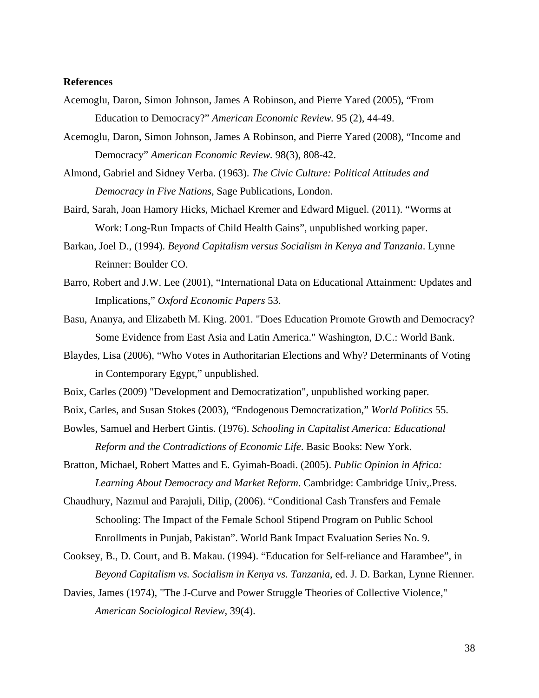## **References**

- Acemoglu, Daron, Simon Johnson, James A Robinson, and Pierre Yared (2005), "From Education to Democracy?" *American Economic Review.* 95 (2), 44-49.
- Acemoglu, Daron, Simon Johnson, James A Robinson, and Pierre Yared (2008), "Income and Democracy" *American Economic Review.* 98(3), 808-42.
- Almond, Gabriel and Sidney Verba. (1963). *The Civic Culture: Political Attitudes and Democracy in Five Nations,* Sage Publications, London.
- Baird, Sarah, Joan Hamory Hicks, Michael Kremer and Edward Miguel. (2011). "Worms at Work: Long-Run Impacts of Child Health Gains", unpublished working paper.
- Barkan, Joel D., (1994). *Beyond Capitalism versus Socialism in Kenya and Tanzania*. Lynne Reinner: Boulder CO.
- Barro, Robert and J.W. Lee (2001), "International Data on Educational Attainment: Updates and Implications," *Oxford Economic Papers* 53.
- Basu, Ananya, and Elizabeth M. King. 2001. "Does Education Promote Growth and Democracy? Some Evidence from East Asia and Latin America." Washington, D.C.: World Bank.
- Blaydes, Lisa (2006), "Who Votes in Authoritarian Elections and Why? Determinants of Voting in Contemporary Egypt," unpublished.
- Boix, Carles (2009) "Development and Democratization", unpublished working paper*.*
- Boix, Carles, and Susan Stokes (2003), "Endogenous Democratization," *World Politics* 55.
- Bowles, Samuel and Herbert Gintis. (1976). *Schooling in Capitalist America: Educational Reform and the Contradictions of Economic Life*. Basic Books: New York.
- Bratton, Michael, Robert Mattes and E. Gyimah-Boadi. (2005). *Public Opinion in Africa: Learning About Democracy and Market Reform*. Cambridge: Cambridge Univ,.Press.
- Chaudhury, Nazmul and Parajuli, Dilip, (2006). "Conditional Cash Transfers and Female Schooling: The Impact of the Female School Stipend Program on Public School Enrollments in Punjab, Pakistan". World Bank Impact Evaluation Series No. 9.
- Cooksey, B., D. Court, and B. Makau. (1994). "Education for Self-reliance and Harambee", in *Beyond Capitalism vs. Socialism in Kenya vs. Tanzania*, ed. J. D. Barkan, Lynne Rienner.
- Davies, James (1974), "The J-Curve and Power Struggle Theories of Collective Violence," *American Sociological Review,* 39(4).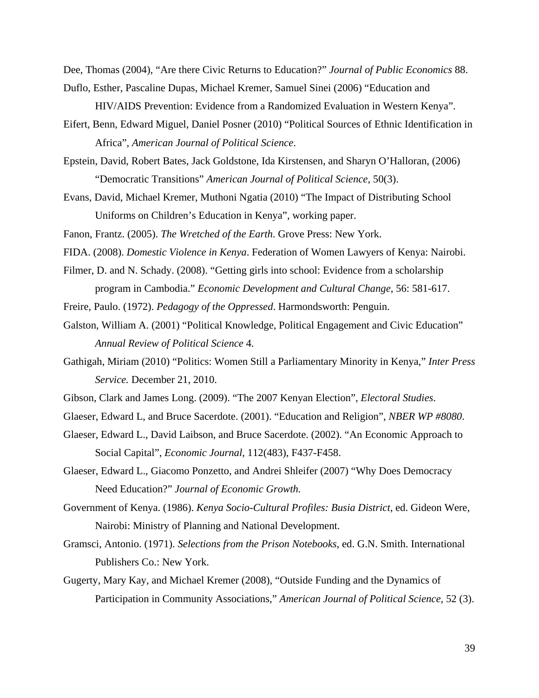Dee, Thomas (2004), "Are there Civic Returns to Education?" *Journal of Public Economics* 88.

- Duflo, Esther, Pascaline Dupas, Michael Kremer, Samuel Sinei (2006) "Education and HIV/AIDS Prevention: Evidence from a Randomized Evaluation in Western Kenya".
- Eifert, Benn, Edward Miguel, Daniel Posner (2010) "Political Sources of Ethnic Identification in Africa", *American Journal of Political Science*.
- Epstein, David, Robert Bates, Jack Goldstone, Ida Kirstensen, and Sharyn O'Halloran, (2006) "Democratic Transitions" *American Journal of Political Science,* 50(3).
- Evans, David, Michael Kremer, Muthoni Ngatia (2010) "The Impact of Distributing School Uniforms on Children's Education in Kenya", working paper.
- Fanon, Frantz. (2005). *The Wretched of the Earth*. Grove Press: New York.
- FIDA. (2008). *Domestic Violence in Kenya*. Federation of Women Lawyers of Kenya: Nairobi.
- Filmer, D. and N. Schady. (2008). "Getting girls into school: Evidence from a scholarship program in Cambodia." *Economic Development and Cultural Change*, 56: 581-617.
- Freire, Paulo. (1972). *Pedagogy of the Oppressed*. Harmondsworth: Penguin.
- Galston, William A. (2001) "Political Knowledge, Political Engagement and Civic Education" *Annual Review of Political Science* 4.
- Gathigah, Miriam (2010) "Politics: Women Still a Parliamentary Minority in Kenya," *Inter Press Service.* December 21, 2010.
- Gibson, Clark and James Long. (2009). "The 2007 Kenyan Election", *Electoral Studies*.
- Glaeser, Edward L, and Bruce Sacerdote. (2001). "Education and Religion", *NBER WP #8080*.
- Glaeser, Edward L., David Laibson, and Bruce Sacerdote. (2002). "An Economic Approach to Social Capital", *Economic Journal*, 112(483), F437-F458.
- Glaeser, Edward L., Giacomo Ponzetto, and Andrei Shleifer (2007) "Why Does Democracy Need Education?" *Journal of Economic Growth.*
- Government of Kenya. (1986). *Kenya Socio-Cultural Profiles: Busia District*, ed. Gideon Were, Nairobi: Ministry of Planning and National Development.
- Gramsci, Antonio. (1971). *Selections from the Prison Notebooks*, ed. G.N. Smith. International Publishers Co.: New York.
- Gugerty, Mary Kay, and Michael Kremer (2008), "Outside Funding and the Dynamics of Participation in Community Associations," *American Journal of Political Science,* 52 (3).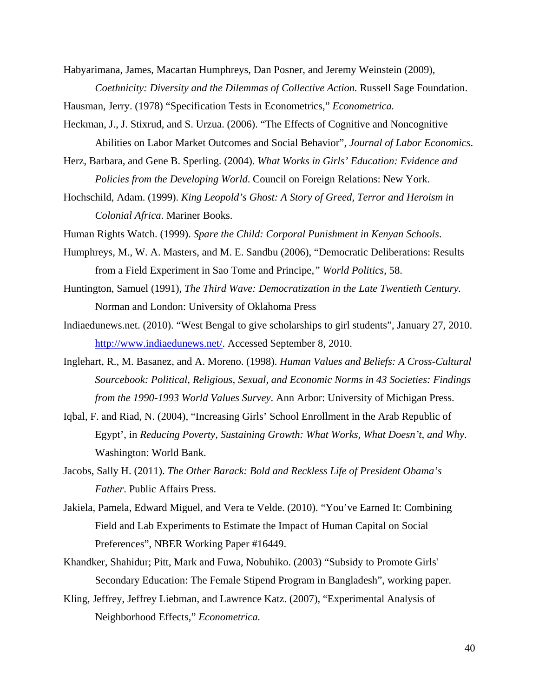Habyarimana, James, Macartan Humphreys, Dan Posner, and Jeremy Weinstein (2009), *Coethnicity: Diversity and the Dilemmas of Collective Action.* Russell Sage Foundation.

Hausman, Jerry. (1978) "Specification Tests in Econometrics," *Econometrica.* 

Heckman, J., J. Stixrud, and S. Urzua. (2006). "The Effects of Cognitive and Noncognitive Abilities on Labor Market Outcomes and Social Behavior", *Journal of Labor Economics*.

- Herz, Barbara, and Gene B. Sperling. (2004). *What Works in Girls' Education: Evidence and Policies from the Developing World*. Council on Foreign Relations: New York.
- Hochschild, Adam. (1999). *King Leopold's Ghost: A Story of Greed, Terror and Heroism in Colonial Africa*. Mariner Books.

Human Rights Watch. (1999). *Spare the Child: Corporal Punishment in Kenyan Schools*.

- Humphreys, M., W. A. Masters, and M. E. Sandbu (2006), "Democratic Deliberations: Results from a Field Experiment in Sao Tome and Principe,*" World Politics*, 58.
- Huntington, Samuel (1991), *The Third Wave: Democratization in the Late Twentieth Century.*  Norman and London: University of Oklahoma Press
- Indiaedunews.net. (2010). "West Bengal to give scholarships to girl students", January 27, 2010. http://www.indiaedunews.net/. Accessed September 8, 2010.
- Inglehart, R., M. Basanez, and A. Moreno. (1998). *Human Values and Beliefs: A Cross-Cultural Sourcebook: Political, Religious, Sexual, and Economic Norms in 43 Societies: Findings from the 1990-1993 World Values Survey*. Ann Arbor: University of Michigan Press.
- Iqbal, F. and Riad, N. (2004), "Increasing Girls' School Enrollment in the Arab Republic of Egypt', in *Reducing Poverty, Sustaining Growth: What Works, What Doesn't, and Why*. Washington: World Bank.
- Jacobs, Sally H. (2011). *The Other Barack: Bold and Reckless Life of President Obama's Father*. Public Affairs Press.
- Jakiela, Pamela, Edward Miguel, and Vera te Velde. (2010). "You've Earned It: Combining Field and Lab Experiments to Estimate the Impact of Human Capital on Social Preferences", NBER Working Paper #16449.
- Khandker, Shahidur; Pitt, Mark and Fuwa, Nobuhiko. (2003) "Subsidy to Promote Girls' Secondary Education: The Female Stipend Program in Bangladesh", working paper.
- Kling, Jeffrey, Jeffrey Liebman, and Lawrence Katz. (2007), "Experimental Analysis of Neighborhood Effects," *Econometrica.*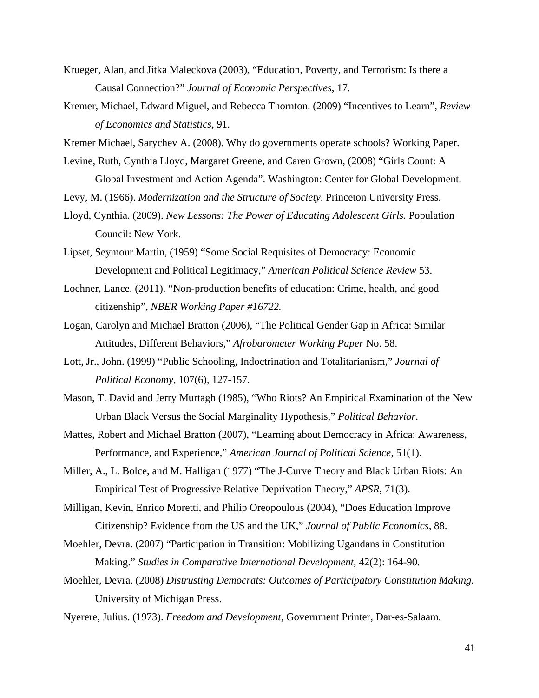- Krueger, Alan, and Jitka Maleckova (2003), "Education, Poverty, and Terrorism: Is there a Causal Connection?" *Journal of Economic Perspectives*, 17.
- Kremer, Michael, Edward Miguel, and Rebecca Thornton. (2009) "Incentives to Learn", *Review of Economics and Statistics,* 91.
- Kremer Michael, Sarychev A. (2008). Why do governments operate schools? Working Paper.
- Levine, Ruth, Cynthia Lloyd, Margaret Greene, and Caren Grown, (2008) "Girls Count: A Global Investment and Action Agenda". Washington: Center for Global Development.
- Levy, M. (1966). *Modernization and the Structure of Society*. Princeton University Press.
- Lloyd, Cynthia. (2009). *New Lessons: The Power of Educating Adolescent Girls*. Population Council: New York.
- Lipset, Seymour Martin, (1959) "Some Social Requisites of Democracy: Economic Development and Political Legitimacy," *American Political Science Review* 53.
- Lochner, Lance. (2011). "Non-production benefits of education: Crime, health, and good citizenship", *NBER Working Paper #16722.*
- Logan, Carolyn and Michael Bratton (2006), "The Political Gender Gap in Africa: Similar Attitudes, Different Behaviors," *Afrobarometer Working Paper* No. 58.
- Lott, Jr., John. (1999) "Public Schooling, Indoctrination and Totalitarianism," *Journal of Political Economy*, 107(6), 127-157.
- Mason, T. David and Jerry Murtagh (1985), "Who Riots? An Empirical Examination of the New Urban Black Versus the Social Marginality Hypothesis," *Political Behavior*.
- Mattes, Robert and Michael Bratton (2007), "Learning about Democracy in Africa: Awareness, Performance, and Experience," *American Journal of Political Science,* 51(1).
- Miller, A., L. Bolce, and M. Halligan (1977) "The J-Curve Theory and Black Urban Riots: An Empirical Test of Progressive Relative Deprivation Theory," *APSR*, 71(3).
- Milligan, Kevin, Enrico Moretti, and Philip Oreopoulous (2004), "Does Education Improve Citizenship? Evidence from the US and the UK," *Journal of Public Economics,* 88.
- Moehler, Devra. (2007) "Participation in Transition: Mobilizing Ugandans in Constitution Making." *Studies in Comparative International Development,* 42(2): 164-90*.*
- Moehler, Devra. (2008) *Distrusting Democrats: Outcomes of Participatory Constitution Making.*  University of Michigan Press.
- Nyerere, Julius. (1973). *Freedom and Development*, Government Printer, Dar-es-Salaam.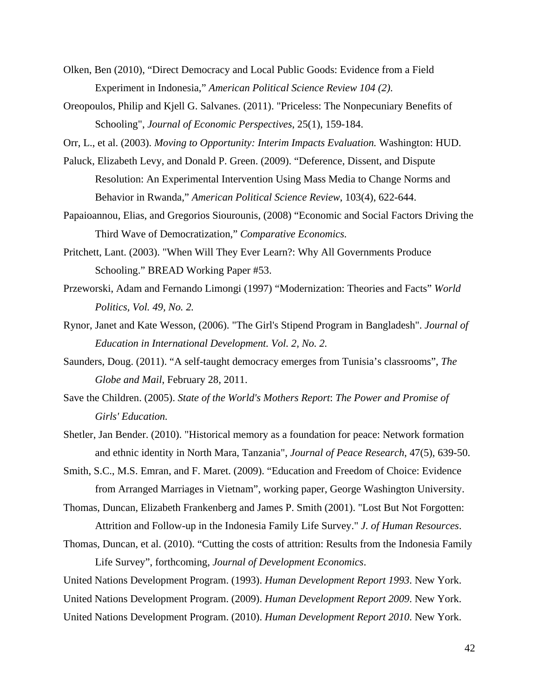- Olken, Ben (2010), "Direct Democracy and Local Public Goods: Evidence from a Field Experiment in Indonesia," *American Political Science Review 104 (2)*.
- Oreopoulos, Philip and Kjell G. Salvanes. (2011). "Priceless: The Nonpecuniary Benefits of Schooling", *Journal of Economic Perspectives*, 25(1), 159-184.

Orr, L., et al. (2003). *Moving to Opportunity: Interim Impacts Evaluation.* Washington: HUD.

- Paluck, Elizabeth Levy, and Donald P. Green. (2009). "Deference, Dissent, and Dispute Resolution: An Experimental Intervention Using Mass Media to Change Norms and Behavior in Rwanda," *American Political Science Review*, 103(4), 622-644.
- Papaioannou, Elias, and Gregorios Siourounis, (2008) "Economic and Social Factors Driving the Third Wave of Democratization," *Comparative Economics.*
- Pritchett, Lant. (2003). "When Will They Ever Learn?: Why All Governments Produce Schooling." BREAD Working Paper #53.
- Przeworski, Adam and Fernando Limongi (1997) "Modernization: Theories and Facts" *World Politics, Vol. 49, No. 2.*
- Rynor, Janet and Kate Wesson, (2006). "The Girl's Stipend Program in Bangladesh". *Journal of Education in International Development. Vol. 2, No. 2.*
- Saunders, Doug. (2011). "A self-taught democracy emerges from Tunisia's classrooms", *The Globe and Mail*, February 28, 2011.
- Save the Children. (2005). *State of the World's Mothers Report*: *The Power and Promise of Girls' Education.*
- Shetler, Jan Bender. (2010). "Historical memory as a foundation for peace: Network formation and ethnic identity in North Mara, Tanzania", *Journal of Peace Research*, 47(5), 639-50.
- Smith, S.C., M.S. Emran, and F. Maret. (2009). "Education and Freedom of Choice: Evidence from Arranged Marriages in Vietnam", working paper, George Washington University.
- Thomas, Duncan, Elizabeth Frankenberg and James P. Smith (2001). "Lost But Not Forgotten: Attrition and Follow-up in the Indonesia Family Life Survey." *J. of Human Resources*.
- Thomas, Duncan, et al. (2010). "Cutting the costs of attrition: Results from the Indonesia Family Life Survey", forthcoming, *Journal of Development Economics*.

United Nations Development Program. (1993). *Human Development Report 1993*. New York. United Nations Development Program. (2009). *Human Development Report 2009*. New York. United Nations Development Program. (2010). *Human Development Report 2010*. New York.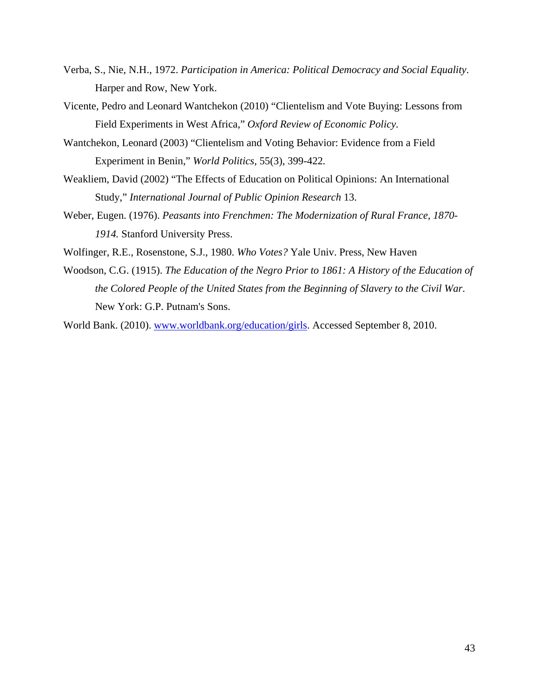- Verba, S., Nie, N.H., 1972. *Participation in America: Political Democracy and Social Equality*. Harper and Row, New York.
- Vicente, Pedro and Leonard Wantchekon (2010) "Clientelism and Vote Buying: Lessons from Field Experiments in West Africa," *Oxford Review of Economic Policy.*
- Wantchekon, Leonard (2003) "Clientelism and Voting Behavior: Evidence from a Field Experiment in Benin," *World Politics*, 55(3), 399-422*.*
- Weakliem, David (2002) "The Effects of Education on Political Opinions: An International Study," *International Journal of Public Opinion Research* 13.
- Weber, Eugen. (1976). *Peasants into Frenchmen: The Modernization of Rural France, 1870- 1914.* Stanford University Press.
- Wolfinger, R.E., Rosenstone, S.J., 1980. *Who Votes?* Yale Univ. Press, New Haven
- Woodson, C.G. (1915). *The Education of the Negro Prior to 1861: A History of the Education of the Colored People of the United States from the Beginning of Slavery to the Civil War*. New York: G.P. Putnam's Sons.

World Bank. (2010). www.worldbank.org/education/girls. Accessed September 8, 2010.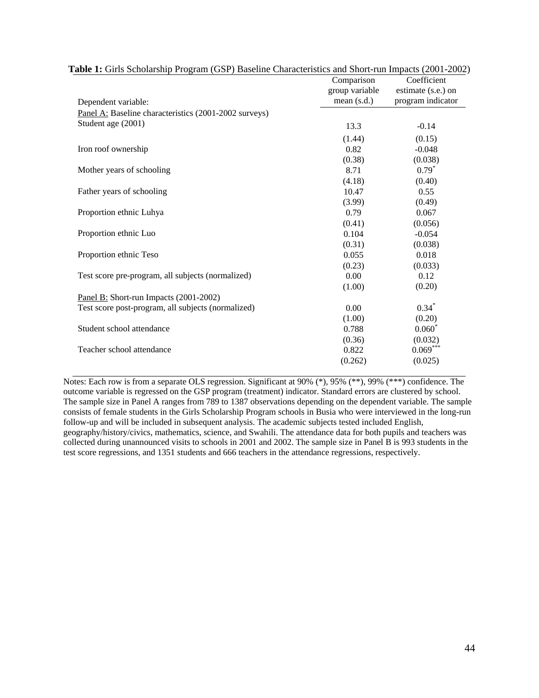|                                                       | Comparison     | Coefficient        |
|-------------------------------------------------------|----------------|--------------------|
|                                                       | group variable | estimate (s.e.) on |
| Dependent variable:                                   | mean $(s.d.)$  | program indicator  |
| Panel A: Baseline characteristics (2001-2002 surveys) |                |                    |
| Student age (2001)                                    | 13.3           | $-0.14$            |
|                                                       | (1.44)         | (0.15)             |
| Iron roof ownership                                   | 0.82           | $-0.048$           |
|                                                       | (0.38)         | (0.038)            |
| Mother years of schooling                             | 8.71           | $0.79*$            |
|                                                       | (4.18)         | (0.40)             |
| Father years of schooling                             | 10.47          | 0.55               |
|                                                       | (3.99)         | (0.49)             |
| Proportion ethnic Luhya                               | 0.79           | 0.067              |
|                                                       | (0.41)         | (0.056)            |
| Proportion ethnic Luo                                 | 0.104          | $-0.054$           |
|                                                       | (0.31)         | (0.038)            |
| Proportion ethnic Teso                                | 0.055          | 0.018              |
|                                                       | (0.23)         | (0.033)            |
| Test score pre-program, all subjects (normalized)     | 0.00           | 0.12               |
|                                                       | (1.00)         | (0.20)             |
| Panel B: Short-run Impacts (2001-2002)                |                |                    |
| Test score post-program, all subjects (normalized)    | 0.00           | $0.34*$            |
|                                                       | (1.00)         | (0.20)             |
| Student school attendance                             | 0.788          | $0.060*$           |
|                                                       | (0.36)         | (0.032)            |
| Teacher school attendance                             | 0.822          | $0.069***$         |
|                                                       | (0.262)        | (0.025)            |
|                                                       |                |                    |

| Table 1: Girls Scholarship Program (GSP) Baseline Characteristics and Short-run Impacts (2001-2002) |
|-----------------------------------------------------------------------------------------------------|
|-----------------------------------------------------------------------------------------------------|

Notes: Each row is from a separate OLS regression. Significant at 90% (\*), 95% (\*\*), 99% (\*\*\*) confidence. The outcome variable is regressed on the GSP program (treatment) indicator. Standard errors are clustered by school. The sample size in Panel A ranges from 789 to 1387 observations depending on the dependent variable. The sample consists of female students in the Girls Scholarship Program schools in Busia who were interviewed in the long-run follow-up and will be included in subsequent analysis. The academic subjects tested included English, geography/history/civics, mathematics, science, and Swahili. The attendance data for both pupils and teachers was collected during unannounced visits to schools in 2001 and 2002. The sample size in Panel B is 993 students in the test score regressions, and 1351 students and 666 teachers in the attendance regressions, respectively.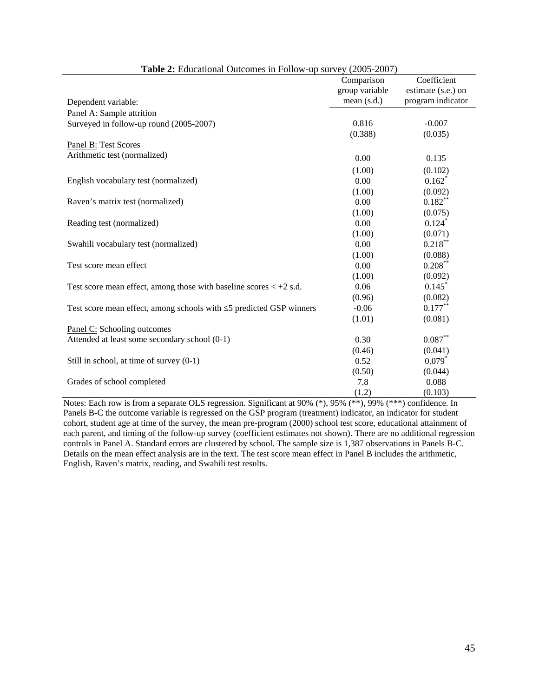| <b>Table 2.</b> Equeational Outcomes in Follow ap survey (2003–2007)                       | Comparison     | Coefficient        |
|--------------------------------------------------------------------------------------------|----------------|--------------------|
|                                                                                            | group variable | estimate (s.e.) on |
| Dependent variable:                                                                        | mean $(s.d.)$  | program indicator  |
| Panel A: Sample attrition                                                                  |                |                    |
| Surveyed in follow-up round (2005-2007)                                                    | 0.816          | $-0.007$           |
|                                                                                            | (0.388)        | (0.035)            |
| Panel B: Test Scores                                                                       |                |                    |
| Arithmetic test (normalized)                                                               | 0.00           | 0.135              |
|                                                                                            | (1.00)         | (0.102)            |
| English vocabulary test (normalized)                                                       | 0.00           | $0.162*$           |
|                                                                                            | (1.00)         | (0.092)            |
| Raven's matrix test (normalized)                                                           | 0.00           | $0.182***$         |
|                                                                                            | (1.00)         | (0.075)            |
| Reading test (normalized)                                                                  | 0.00           | $0.124*$           |
|                                                                                            | (1.00)         | (0.071)            |
| Swahili vocabulary test (normalized)                                                       | 0.00           | $0.218***$         |
|                                                                                            | (1.00)         | (0.088)            |
| Test score mean effect                                                                     | 0.00           | $0.208***$         |
|                                                                                            | (1.00)         | (0.092)            |
| Test score mean effect, among those with baseline scores $\langle +2 \text{ s.d.} \rangle$ | 0.06           | 0.145              |
|                                                                                            | (0.96)         | (0.082)            |
| Test score mean effect, among schools with $\leq$ 5 predicted GSP winners                  | $-0.06$        | $0.177***$         |
|                                                                                            | (1.01)         | (0.081)            |
| Panel C: Schooling outcomes                                                                |                |                    |
| Attended at least some secondary school (0-1)                                              | 0.30           | $0.087^{\ast\ast}$ |
|                                                                                            | (0.46)         | (0.041)            |
| Still in school, at time of survey (0-1)                                                   | 0.52           | $0.079*$           |
|                                                                                            | (0.50)         | (0.044)            |
| Grades of school completed                                                                 | 7.8            | 0.088              |
|                                                                                            | (1.2)          | (0.103)            |

**Table 2:** Educational Outcomes in Follow-up survey (2005-2007)

Notes: Each row is from a separate OLS regression. Significant at 90% (\*), 95% (\*\*), 99% (\*\*\*) confidence. In Panels B-C the outcome variable is regressed on the GSP program (treatment) indicator, an indicator for student cohort, student age at time of the survey, the mean pre-program (2000) school test score, educational attainment of each parent, and timing of the follow-up survey (coefficient estimates not shown). There are no additional regression controls in Panel A. Standard errors are clustered by school. The sample size is 1,387 observations in Panels B-C. Details on the mean effect analysis are in the text. The test score mean effect in Panel B includes the arithmetic, English, Raven's matrix, reading, and Swahili test results.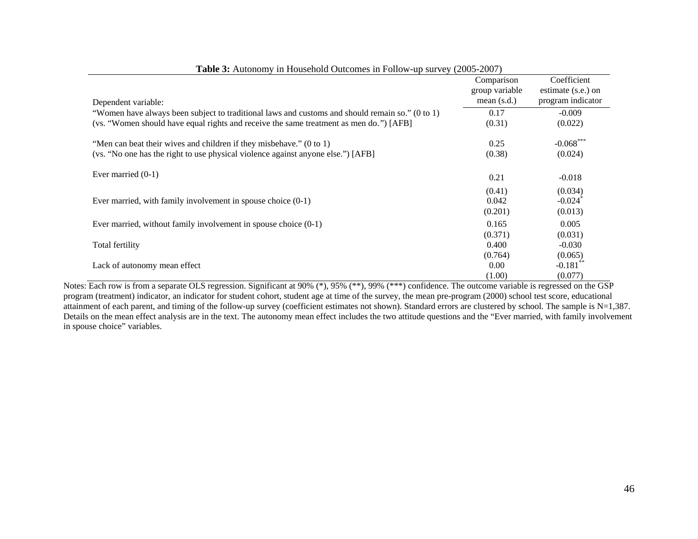| Dependent variable:                                                                                                                                     | Comparison<br>group variable<br>mean $(s.d.)$ | Coefficient<br>estimate (s.e.) on<br>program indicator |
|---------------------------------------------------------------------------------------------------------------------------------------------------------|-----------------------------------------------|--------------------------------------------------------|
| "Women have always been subject to traditional laws and customs and should remain so." (0 to 1)                                                         | 0.17                                          | $-0.009$                                               |
| (vs. "Women should have equal rights and receive the same treatment as men do.") [AFB]                                                                  | (0.31)                                        | (0.022)                                                |
| "Men can beat their wives and children if they misbehave." (0 to 1)<br>(vs. "No one has the right to use physical violence against anyone else.") [AFB] | 0.25<br>(0.38)                                | $-0.068$ ***<br>(0.024)                                |
| Ever married $(0-1)$                                                                                                                                    | 0.21                                          | $-0.018$                                               |
| Ever married, with family involvement in spouse choice $(0-1)$                                                                                          | (0.41)<br>0.042<br>(0.201)                    | (0.034)<br>$-0.024$ <sup>*</sup><br>(0.013)            |
| Ever married, without family involvement in spouse choice $(0-1)$                                                                                       | 0.165                                         | 0.005                                                  |
|                                                                                                                                                         | (0.371)                                       | (0.031)                                                |
| Total fertility                                                                                                                                         | 0.400                                         | $-0.030$                                               |
|                                                                                                                                                         | (0.764)                                       | (0.065)                                                |
| Lack of autonomy mean effect                                                                                                                            | 0.00                                          | $-0.181$ <sup>**</sup>                                 |
| $\sim$ $\sim$                                                                                                                                           | (1.00)                                        | (0.077)                                                |

**Table 3:** Autonomy in Household Outcomes in Follow-up survey (2005-2007)

Notes: Each row is from a separate OLS regression. Significant at 90% (\*), 95% (\*\*), 99% (\*\*\*) confidence. The outcome variable is regressed on the GSP program (treatment) indicator, an indicator for student cohort, student age at time of the survey, the mean pre-program (2000) school test score, educational attainment of each parent, and timing of the follow-up survey (coefficient estimates not shown). Standard errors are clustered by school. The sample is N=1,387. Details on the mean effect analysis are in the text. The autonomy mean effect includes the two attitude questions and the "Ever married, with family involvement in spouse choice" variables.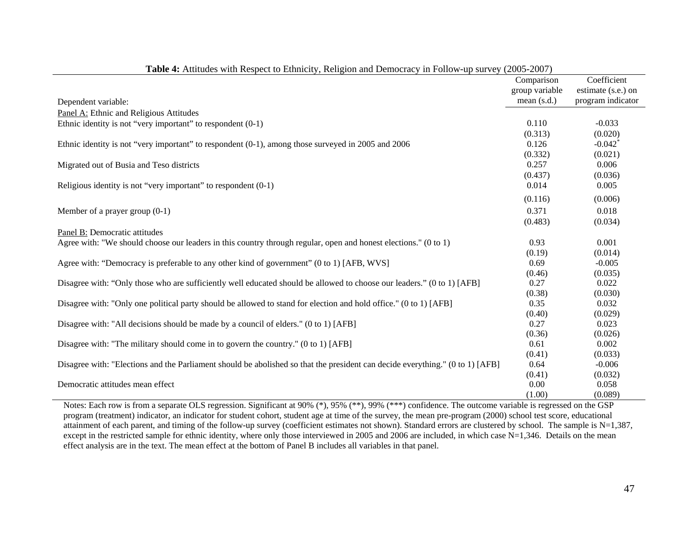|                                                                                                                               | Comparison<br>group variable | Coefficient<br>estimate (s.e.) on |
|-------------------------------------------------------------------------------------------------------------------------------|------------------------------|-----------------------------------|
| Dependent variable:                                                                                                           | mean $(s.d.)$                | program indicator                 |
|                                                                                                                               |                              |                                   |
| Panel A: Ethnic and Religious Attitudes                                                                                       | 0.110                        | $-0.033$                          |
| Ethnic identity is not "very important" to respondent $(0-1)$                                                                 |                              |                                   |
|                                                                                                                               | (0.313)                      | (0.020)<br>$-0.042$ <sup>*</sup>  |
| Ethnic identity is not "very important" to respondent (0-1), among those surveyed in 2005 and 2006                            | 0.126<br>(0.332)             | (0.021)                           |
|                                                                                                                               | 0.257                        | 0.006                             |
| Migrated out of Busia and Teso districts                                                                                      | (0.437)                      |                                   |
| Religious identity is not "very important" to respondent $(0-1)$                                                              | 0.014                        | (0.036)<br>0.005                  |
|                                                                                                                               |                              |                                   |
|                                                                                                                               | (0.116)                      | (0.006)                           |
| Member of a prayer group $(0-1)$                                                                                              | 0.371                        | 0.018                             |
|                                                                                                                               | (0.483)                      | (0.034)                           |
| Panel B: Democratic attitudes                                                                                                 |                              |                                   |
| Agree with: "We should choose our leaders in this country through regular, open and honest elections." (0 to 1)               | 0.93                         | 0.001                             |
|                                                                                                                               | (0.19)                       | (0.014)                           |
| Agree with: "Democracy is preferable to any other kind of government" (0 to 1) [AFB, WVS]                                     | 0.69                         | $-0.005$                          |
|                                                                                                                               | (0.46)                       | (0.035)                           |
| Disagree with: "Only those who are sufficiently well educated should be allowed to choose our leaders." (0 to 1) [AFB]        | 0.27                         | 0.022                             |
|                                                                                                                               | (0.38)                       | (0.030)                           |
| Disagree with: "Only one political party should be allowed to stand for election and hold office." (0 to 1) [AFB]             | 0.35                         | 0.032                             |
|                                                                                                                               | (0.40)                       | (0.029)                           |
| Disagree with: "All decisions should be made by a council of elders." (0 to 1) [AFB]                                          | 0.27                         | 0.023                             |
|                                                                                                                               | (0.36)                       | (0.026)                           |
| Disagree with: "The military should come in to govern the country." (0 to 1) [AFB]                                            | 0.61                         | 0.002                             |
|                                                                                                                               | (0.41)                       | (0.033)                           |
| Disagree with: "Elections and the Parliament should be abolished so that the president can decide everything." (0 to 1) [AFB] | 0.64                         | $-0.006$                          |
|                                                                                                                               | (0.41)                       | (0.032)                           |
| Democratic attitudes mean effect                                                                                              | 0.00                         | 0.058                             |
|                                                                                                                               | (1.00)                       | (0.089)                           |

| Table 4: Attitudes with Respect to Ethnicity, Religion and Democracy in Follow-up survey (2005-2007) |  |
|------------------------------------------------------------------------------------------------------|--|
|                                                                                                      |  |

Notes: Each row is from a separate OLS regression. Significant at 90% (\*), 95% (\*\*), 99% (\*\*\*) confidence. The outcome variable is regressed on the GSP program (treatment) indicator, an indicator for student cohort, student age at time of the survey, the mean pre-program (2000) school test score, educational attainment of each parent, and timing of the follow-up survey (coefficient estimates not shown). Standard errors are clustered by school. The sample is N=1,387, except in the restricted sample for ethnic identity, where only those interviewed in 2005 and 2006 are included, in which case N=1,346. Details on the mean effect analysis are in the text. The mean effect at the bottom of Panel B includes all variables in that panel.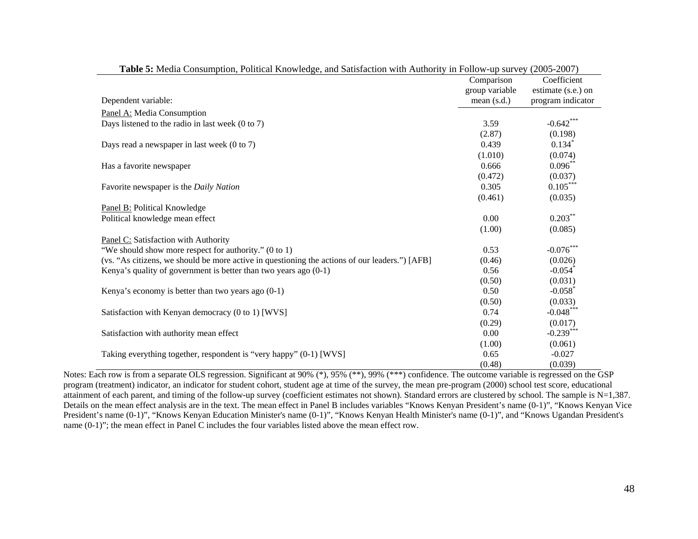|                                                                                                | Comparison<br>group variable | Coefficient<br>estimate (s.e.) on |
|------------------------------------------------------------------------------------------------|------------------------------|-----------------------------------|
| Dependent variable:                                                                            | mean $(s.d.)$                | program indicator                 |
| Panel A: Media Consumption                                                                     |                              |                                   |
| Days listened to the radio in last week $(0 \text{ to } 7)$                                    | 3.59                         | $-0.642***$                       |
|                                                                                                | (2.87)                       | (0.198)                           |
| Days read a newspaper in last week $(0 \text{ to } 7)$                                         | 0.439                        | $0.134*$                          |
|                                                                                                | (1.010)                      | (0.074)                           |
| Has a favorite newspaper                                                                       | 0.666                        | $0.096***$                        |
|                                                                                                | (0.472)                      | (0.037)                           |
| Favorite newspaper is the Daily Nation                                                         | 0.305                        | $0.105***$                        |
|                                                                                                | (0.461)                      | (0.035)                           |
| Panel B: Political Knowledge                                                                   |                              |                                   |
| Political knowledge mean effect                                                                | 0.00                         | $0.203***$                        |
|                                                                                                | (1.00)                       | (0.085)                           |
| Panel C: Satisfaction with Authority                                                           |                              |                                   |
| "We should show more respect for authority." (0 to 1)                                          | 0.53                         | $-0.076***$                       |
| (vs. "As citizens, we should be more active in questioning the actions of our leaders.") [AFB] | (0.46)                       | (0.026)                           |
| Kenya's quality of government is better than two years ago $(0-1)$                             | 0.56                         | $-0.054$ <sup>*</sup>             |
|                                                                                                | (0.50)                       | (0.031)                           |
| Kenya's economy is better than two years ago $(0-1)$                                           | 0.50                         | $-0.058$ <sup>*</sup>             |
|                                                                                                | (0.50)                       | (0.033)                           |
| Satisfaction with Kenyan democracy (0 to 1) [WVS]                                              | 0.74                         | $-0.048***$                       |
|                                                                                                | (0.29)                       | (0.017)                           |
| Satisfaction with authority mean effect                                                        | 0.00                         | $-0.239***$                       |
|                                                                                                | (1.00)                       | (0.061)                           |
| Taking everything together, respondent is "very happy" (0-1) [WVS]                             | 0.65                         | $-0.027$                          |
|                                                                                                | (0.48)                       | (0.039)                           |

|  | Table 5: Media Consumption, Political Knowledge, and Satisfaction with Authority in Follow-up survey (2005-2007) |  |
|--|------------------------------------------------------------------------------------------------------------------|--|
|  |                                                                                                                  |  |

Notes: Each row is from a separate OLS regression. Significant at 90% (\*), 95% (\*\*), 99% (\*\*\*) confidence. The outcome variable is regressed on the GSP program (treatment) indicator, an indicator for student cohort, student age at time of the survey, the mean pre-program (2000) school test score, educational attainment of each parent, and timing of the follow-up survey (coefficient estimates not shown). Standard errors are clustered by school. The sample is N=1,387. Details on the mean effect analysis are in the text. The mean effect in Panel B includes variables "Knows Kenyan President's name (0-1)", "Knows Kenyan Vice President's name (0-1)", "Knows Kenyan Education Minister's name (0-1)", "Knows Kenyan Health Minister's name (0-1)", and "Knows Ugandan President's name (0-1)"; the mean effect in Panel C includes the four variables listed above the mean effect row.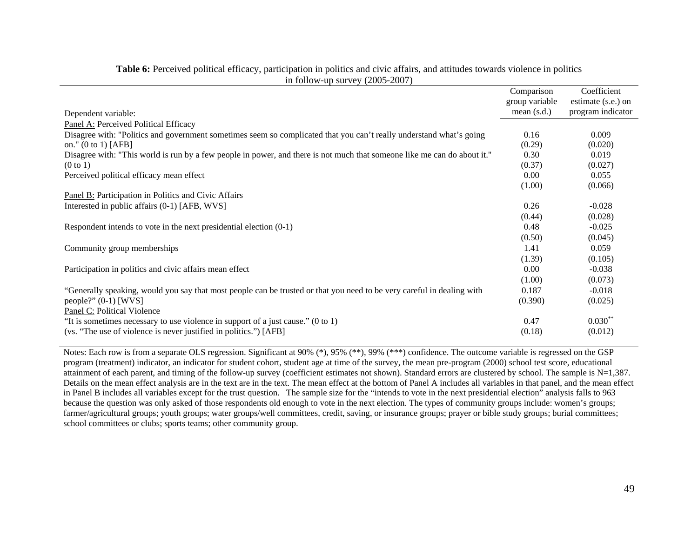|                                                                                                                          | Comparison     | Coefficient        |
|--------------------------------------------------------------------------------------------------------------------------|----------------|--------------------|
|                                                                                                                          | group variable | estimate (s.e.) on |
| Dependent variable:                                                                                                      | mean $(s.d.)$  | program indicator  |
| Panel A: Perceived Political Efficacy                                                                                    |                |                    |
| Disagree with: "Politics and government sometimes seem so complicated that you can't really understand what's going      | 0.16           | 0.009              |
| on." $(0 to 1)$ [AFB]                                                                                                    | (0.29)         | (0.020)            |
| Disagree with: "This world is run by a few people in power, and there is not much that someone like me can do about it." | 0.30           | 0.019              |
| (0 to 1)                                                                                                                 | (0.37)         | (0.027)            |
| Perceived political efficacy mean effect                                                                                 | 0.00           | 0.055              |
|                                                                                                                          | (1.00)         | (0.066)            |
| Panel B: Participation in Politics and Civic Affairs                                                                     |                |                    |
| Interested in public affairs (0-1) [AFB, WVS]                                                                            | 0.26           | $-0.028$           |
|                                                                                                                          | (0.44)         | (0.028)            |
| Respondent intends to vote in the next presidential election $(0-1)$                                                     | 0.48           | $-0.025$           |
|                                                                                                                          | (0.50)         | (0.045)            |
| Community group memberships                                                                                              | 1.41           | 0.059              |
|                                                                                                                          | (1.39)         | (0.105)            |
| Participation in politics and civic affairs mean effect                                                                  | 0.00           | $-0.038$           |
|                                                                                                                          | (1.00)         | (0.073)            |
| "Generally speaking, would you say that most people can be trusted or that you need to be very careful in dealing with   | 0.187          | $-0.018$           |
| people?" $(0-1)$ [WVS]                                                                                                   | (0.390)        | (0.025)            |
| Panel C: Political Violence                                                                                              |                |                    |
| "It is sometimes necessary to use violence in support of a just cause." $(0 \text{ to } 1)$                              | 0.47           | $0.030**$          |
| (vs. "The use of violence is never justified in politics.") [AFB]                                                        | (0.18)         | (0.012)            |
|                                                                                                                          |                |                    |

**Table 6:** Perceived political efficacy, participation in politics and civic affairs, and attitudes towards violence in politics in follow-up survey (2005-2007)

Notes: Each row is from a separate OLS regression. Significant at 90% (\*), 95% (\*\*), 99% (\*\*\*) confidence. The outcome variable is regressed on the GSP program (treatment) indicator, an indicator for student cohort, student age at time of the survey, the mean pre-program (2000) school test score, educational attainment of each parent, and timing of the follow-up survey (coefficient estimates not shown). Standard errors are clustered by school. The sample is  $N=1,387$ . Details on the mean effect analysis are in the text are in the text. The mean effect at the bottom of Panel A includes all variables in that panel, and the mean effect in Panel B includes all variables except for the trust question. The sample size for the "intends to vote in the next presidential election" analysis falls to 963 because the question was only asked of those respondents old enough to vote in the next election. The types of community groups include: women's groups; farmer/agricultural groups; youth groups; water groups/well committees, credit, saving, or insurance groups; prayer or bible study groups; burial committees; school committees or clubs; sports teams; other community group.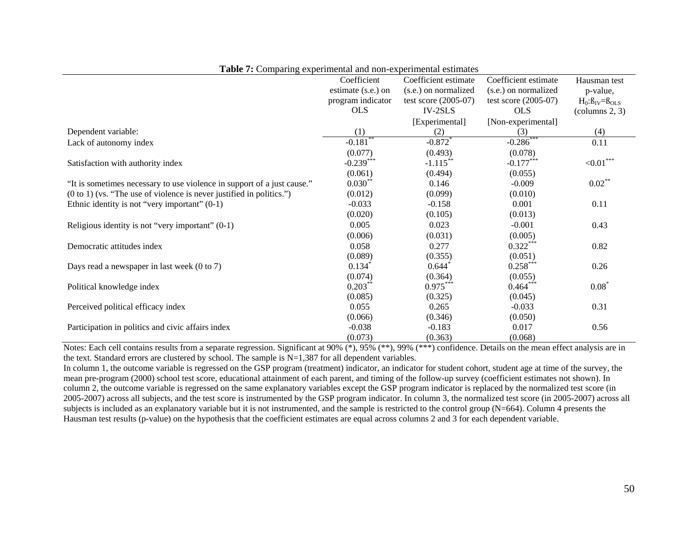|                                                                                 | Coefficient            | Coefficient estimate   | Coefficient estimate   | Hausman test                    |
|---------------------------------------------------------------------------------|------------------------|------------------------|------------------------|---------------------------------|
|                                                                                 | estimate (s.e.) on     | (s.e.) on normalized   | (s.e.) on normalized   | p-value,                        |
|                                                                                 | program indicator      | test score $(2005-07)$ | test score $(2005-07)$ | $H_0: \beta_{IV} = \beta_{OLS}$ |
|                                                                                 | <b>OLS</b>             | IV-2SLS                | <b>OLS</b>             | $\text{(columns } 2, 3)$        |
|                                                                                 |                        | [Experimental]         | [Non-experimental]     |                                 |
| Dependent variable:                                                             | (1)                    | (2)                    | (3)                    | (4)                             |
| Lack of autonomy index                                                          | $-0.181$ <sup>**</sup> | $-0.872$               | $-0.286$ ***           | 0.11                            |
|                                                                                 | (0.077)                | (0.493)                | (0.078)                |                                 |
| Satisfaction with authority index                                               | $-0.239***$            | $-1.115***$            | $-0.177***$            | ${<}0.01$ ***                   |
|                                                                                 | (0.061)                | (0.494)                | (0.055)                |                                 |
| "It is sometimes necessary to use violence in support of a just cause."         | $0.030**$              | 0.146                  | $-0.009$               | $0.02***$                       |
| $(0 \text{ to } 1)$ (vs. "The use of violence is never justified in politics.") | (0.012)                | (0.099)                | (0.010)                |                                 |
| Ethnic identity is not "very important" $(0-1)$                                 | $-0.033$               | $-0.158$               | 0.001                  | 0.11                            |
|                                                                                 | (0.020)                | (0.105)                | (0.013)                |                                 |
| Religious identity is not "very important" $(0-1)$                              | 0.005                  | 0.023                  | $-0.001$               | 0.43                            |
|                                                                                 | (0.006)                | (0.031)                | (0.005)                |                                 |
| Democratic attitudes index                                                      | 0.058                  | 0.277                  | $0.322***$             | 0.82                            |
|                                                                                 | (0.089)                | (0.355)                | (0.051)                |                                 |
| Days read a newspaper in last week $(0 \text{ to } 7)$                          | 0.134                  | $0.644^*$              | $0.258***$             | 0.26                            |
|                                                                                 | (0.074)                | (0.364)                | (0.055)                |                                 |
| Political knowledge index                                                       | $0.203**$              | $0.975***$             | $0.464***$             | $0.08*$                         |
|                                                                                 | (0.085)                | (0.325)                | (0.045)                |                                 |
| Perceived political efficacy index                                              | 0.055                  | 0.265                  | $-0.033$               | 0.31                            |
|                                                                                 | (0.066)                | (0.346)                | (0.050)                |                                 |
| Participation in politics and civic affairs index                               | $-0.038$               | $-0.183$               | 0.017                  | 0.56                            |
|                                                                                 | (0.073)                | (0.363)                | (0.068)                |                                 |

**Table 7:** Comparing experimental and non-experimental estimates

Notes: Each cell contains results from a separate regression. Significant at 90% (\*), 95% (\*\*), 99% (\*\*\*) confidence. Details on the mean effect analysis are in the text. Standard errors are clustered by school. The sample is  $N=1,387$  for all dependent variables.

In column 1, the outcome variable is regressed on the GSP program (treatment) indicator, an indicator for student cohort, student age at time of the survey, the mean pre-program (2000) school test score, educational attainment of each parent, and timing of the follow-up survey (coefficient estimates not shown). In column 2, the outcome variable is regressed on the same explanatory variables except the GSP program indicator is replaced by the normalized test score (in 2005-2007) across all subjects, and the test score is instrumented by the GSP program indicator. In column 3, the normalized test score (in 2005-2007) across all subjects is included as an explanatory variable but it is not instrumented, and the sample is restricted to the control group  $(N=664)$ . Column 4 presents the Hausman test results (p-value) on the hypothesis that the coefficient estimates are equal across columns 2 and 3 for each dependent variable.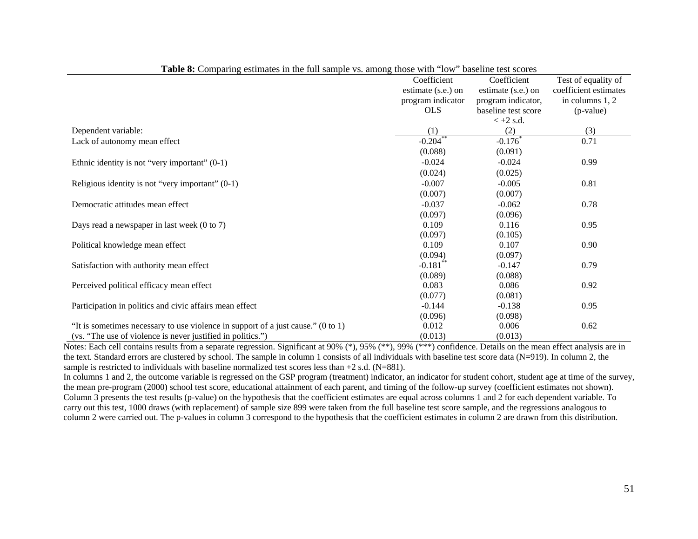|                                                                                             | Coefficient           | Coefficient           | Test of equality of   |
|---------------------------------------------------------------------------------------------|-----------------------|-----------------------|-----------------------|
|                                                                                             | estimate (s.e.) on    | estimate (s.e.) on    | coefficient estimates |
|                                                                                             | program indicator     | program indicator,    | in columns 1, 2       |
|                                                                                             | <b>OLS</b>            | baseline test score   | (p-value)             |
|                                                                                             |                       | $< +2$ s.d.           |                       |
| Dependent variable:                                                                         | (1)                   | (2)                   | (3)                   |
| Lack of autonomy mean effect                                                                | $-0.204$ <sup>*</sup> | $-0.176$ <sup>*</sup> | 0.71                  |
|                                                                                             | (0.088)               | (0.091)               |                       |
| Ethnic identity is not "very important" $(0-1)$                                             | $-0.024$              | $-0.024$              | 0.99                  |
|                                                                                             | (0.024)               | (0.025)               |                       |
| Religious identity is not "very important" $(0-1)$                                          | $-0.007$              | $-0.005$              | 0.81                  |
|                                                                                             | (0.007)               | (0.007)               |                       |
| Democratic attitudes mean effect                                                            | $-0.037$              | $-0.062$              | 0.78                  |
|                                                                                             | (0.097)               | (0.096)               |                       |
| Days read a newspaper in last week $(0 \text{ to } 7)$                                      | 0.109                 | 0.116                 | 0.95                  |
|                                                                                             | (0.097)               | (0.105)               |                       |
| Political knowledge mean effect                                                             | 0.109                 | 0.107                 | 0.90                  |
|                                                                                             | (0.094)               | (0.097)               |                       |
| Satisfaction with authority mean effect                                                     | $-0.181***$           | $-0.147$              | 0.79                  |
|                                                                                             | (0.089)               | (0.088)               |                       |
| Perceived political efficacy mean effect                                                    | 0.083                 | 0.086                 | 0.92                  |
|                                                                                             | (0.077)               | (0.081)               |                       |
| Participation in politics and civic affairs mean effect                                     | $-0.144$              | $-0.138$              | 0.95                  |
|                                                                                             | (0.096)               | (0.098)               |                       |
| "It is sometimes necessary to use violence in support of a just cause." $(0 \text{ to } 1)$ | 0.012                 | 0.006                 | 0.62                  |
| (vs. "The use of violence is never justified in politics.")                                 | (0.013)               | (0.013)               |                       |

**Table 8:** Comparing estimates in the full sample vs. among those with "low" baseline test scores

Notes: Each cell contains results from a separate regression. Significant at 90% (\*), 95% (\*\*), 99% (\*\*\*) confidence. Details on the mean effect analysis are in the text. Standard errors are clustered by school. The sample in column 1 consists of all individuals with baseline test score data (N=919). In column 2, the sample is restricted to individuals with baseline normalized test scores less than  $+2$  s.d. (N=881).

In columns 1 and 2, the outcome variable is regressed on the GSP program (treatment) indicator, an indicator for student cohort, student age at time of the survey, the mean pre-program (2000) school test score, educational attainment of each parent, and timing of the follow-up survey (coefficient estimates not shown). Column 3 presents the test results (p-value) on the hypothesis that the coefficient estimates are equal across columns 1 and 2 for each dependent variable. To carry out this test, 1000 draws (with replacement) of sample size 899 were taken from the full baseline test score sample, and the regressions analogous to column 2 were carried out. The p-values in column 3 correspond to the hypothesis that the coefficient estimates in column 2 are drawn from this distribution.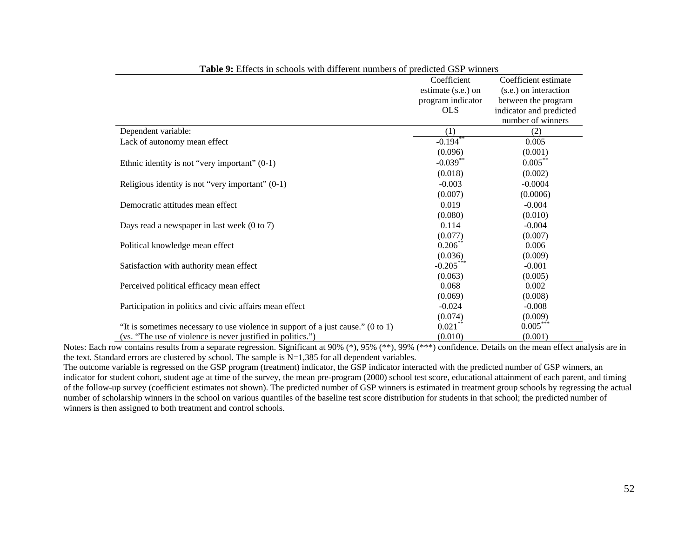|                                                                                  | Coefficient        | Coefficient estimate    |
|----------------------------------------------------------------------------------|--------------------|-------------------------|
|                                                                                  | estimate (s.e.) on | (s.e.) on interaction   |
|                                                                                  | program indicator  | between the program     |
|                                                                                  | <b>OLS</b>         | indicator and predicted |
|                                                                                  |                    | number of winners       |
| Dependent variable:                                                              | (1)                | (2)                     |
| Lack of autonomy mean effect                                                     | $-0.194**$         | 0.005                   |
|                                                                                  | (0.096)            | (0.001)                 |
| Ethnic identity is not "very important" $(0-1)$                                  | $-0.039***$        | $0.005***$              |
|                                                                                  | (0.018)            | (0.002)                 |
| Religious identity is not "very important" $(0-1)$                               | $-0.003$           | $-0.0004$               |
|                                                                                  | (0.007)            | (0.0006)                |
| Democratic attitudes mean effect                                                 | 0.019              | $-0.004$                |
|                                                                                  | (0.080)            | (0.010)                 |
| Days read a newspaper in last week $(0 \text{ to } 7)$                           | 0.114              | $-0.004$                |
|                                                                                  | (0.077)            | (0.007)                 |
| Political knowledge mean effect                                                  | $0.206$ **         | 0.006                   |
|                                                                                  | (0.036)            | (0.009)                 |
| Satisfaction with authority mean effect                                          | $-0.205***$        | $-0.001$                |
|                                                                                  | (0.063)            | (0.005)                 |
| Perceived political efficacy mean effect                                         | 0.068              | 0.002                   |
|                                                                                  | (0.069)            | (0.008)                 |
| Participation in politics and civic affairs mean effect                          | $-0.024$           | $-0.008$                |
|                                                                                  | (0.074)            | (0.009)                 |
| "It is sometimes necessary to use violence in support of a just cause." (0 to 1) | $0.021$ **         | $0.005***$              |
| (vs. "The use of violence is never justified in politics.")                      | (0.010)            | (0.001)                 |

**Table 9:** Effects in schools with different numbers of predicted GSP winners

Notes: Each row contains results from a separate regression. Significant at 90% (\*), 95% (\*\*), 99% (\*\*\*) confidence. Details on the mean effect analysis are in the text. Standard errors are clustered by school. The sample is  $N=1,385$  for all dependent variables.

The outcome variable is regressed on the GSP program (treatment) indicator, the GSP indicator interacted with the predicted number of GSP winners, an indicator for student cohort, student age at time of the survey, the mean pre-program (2000) school test score, educational attainment of each parent, and timing of the follow-up survey (coefficient estimates not shown). The predicted number of GSP winners is estimated in treatment group schools by regressing the actual number of scholarship winners in the school on various quantiles of the baseline test score distribution for students in that school; the predicted number of winners is then assigned to both treatment and control schools.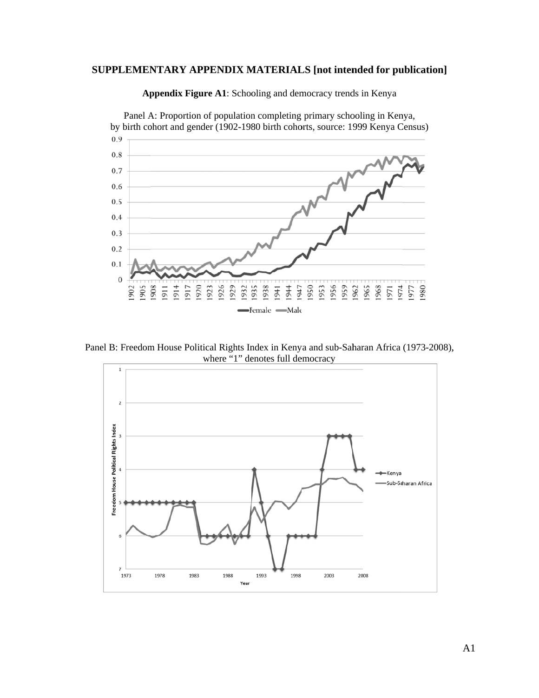### **SUPPLEMENTARY APPENDIX MATERIALS [not intended for publication]**



Appendix Figure A1: Schooling and democracy trends in Kenya

Panel B: Freedom House Political Rights Index in Kenya and sub-Saharan Africa (1973-2008), where "1" denotes full democracy

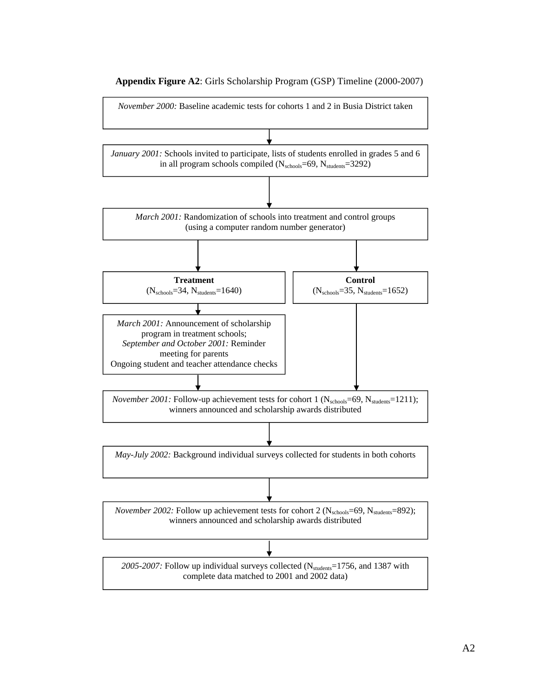

**Appendix Figure A2**: Girls Scholarship Program (GSP) Timeline (2000-2007)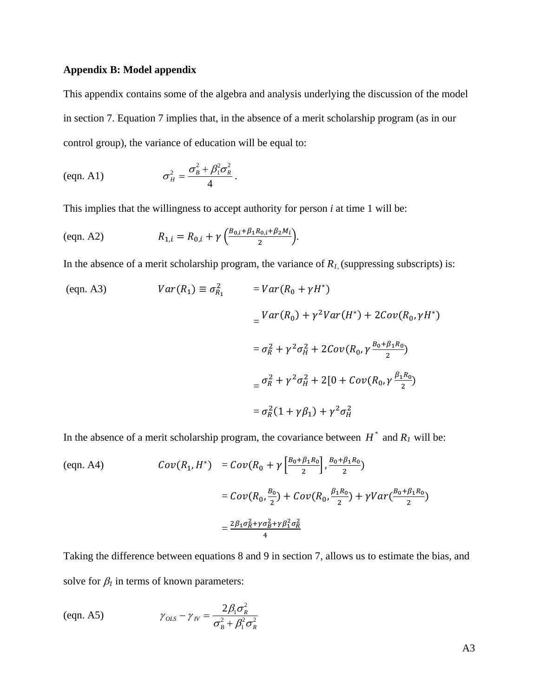# **Appendix B: Model appendix**

This appendix contains some of the algebra and analysis underlying the discussion of the model in section 7. Equation 7 implies that, in the absence of a merit scholarship program (as in our control group), the variance of education will be equal to:

$$
\text{(eqn. A1)} \qquad \qquad \sigma_H^2 = \frac{\sigma_B^2 + \beta_1^2 \sigma_R^2}{4} \, .
$$

This implies that the willingness to accept authority for person *i* at time 1 will be:

$$
\text{(eqn. A2)} \quad R_{1,i} = R_{0,i} + \gamma \left( \frac{B_{0,i} + \beta_1 R_{0,i} + \beta_2 M_i}{2} \right).
$$

In the absence of a merit scholarship program, the variance of  $R_I$ , (suppressing subscripts) is:

$$
(eqn. A3) \quad Var(R_1) \equiv \sigma_{R_1}^2 \quad = Var(R_0 + \gamma H^*)
$$
\n
$$
= \frac{Var(R_0) + \gamma^2 Var(H^*) + 2Cov(R_0, \gamma H^*)}{\sigma_R^2 + \gamma^2 \sigma_H^2 + 2Cov(R_0, \gamma \frac{B_0 + \beta_1 R_0}{2})}
$$
\n
$$
= \sigma_R^2 + \gamma^2 \sigma_H^2 + 2[0 + Cov(R_0, \gamma \frac{\beta_1 R_0}{2})]
$$
\n
$$
= \sigma_R^2 (1 + \gamma \beta_1) + \gamma^2 \sigma_H^2
$$

In the absence of a merit scholarship program, the covariance between  $H^*$  and  $R_I$  will be:

$$
\begin{aligned} \text{(eqn. A4)} \qquad \qquad Cov(R_1, H^*) &= Cov(R_0 + \gamma \left[ \frac{B_0 + \beta_1 R_0}{2} \right], \frac{B_0 + \beta_1 R_0}{2}) \\ &= Cov(R_0, \frac{B_0}{2}) + Cov(R_0, \frac{\beta_1 R_0}{2}) + \gamma Var(\frac{B_0 + \beta_1 R_0}{2}) \\ &= \frac{2\beta_1 \sigma_R^2 + \gamma \sigma_B^2 + \gamma \beta_1^2 \sigma_R^2}{4} \end{aligned}
$$

Taking the difference between equations 8 and 9 in section 7, allows us to estimate the bias, and solve for  $\beta_l$  in terms of known parameters:

$$
\gamma_{OLS} - \gamma_{IV} = \frac{2\beta_1 \sigma_R^2}{\sigma_B^2 + \beta_1^2 \sigma_R^2}
$$

A3